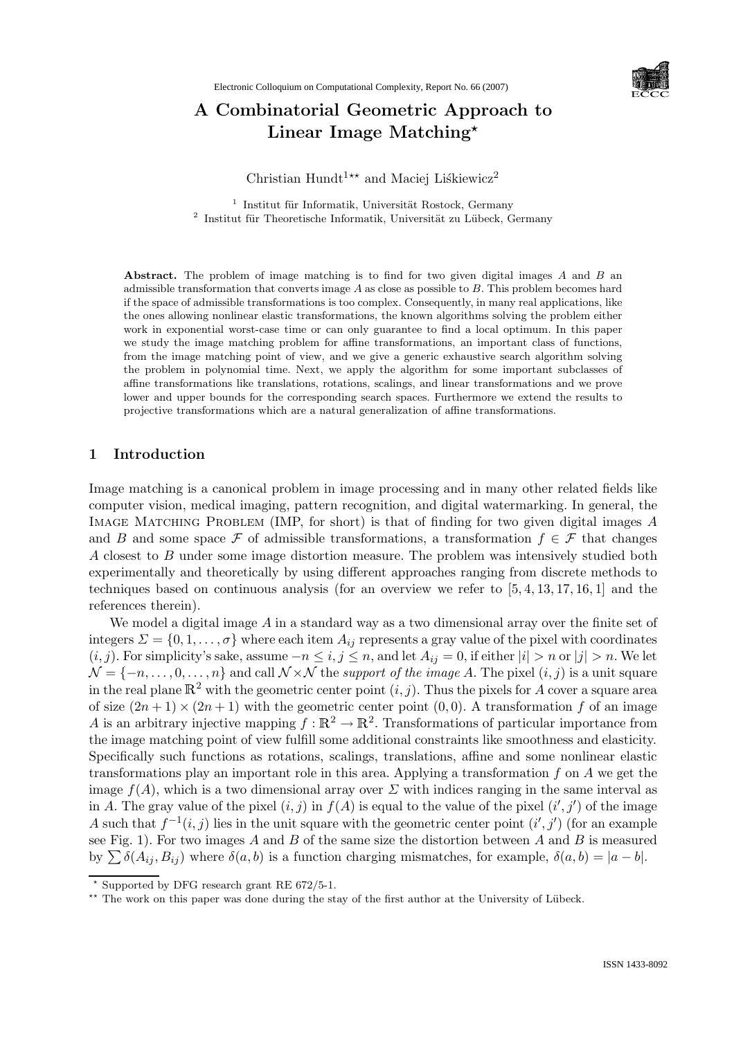

## A Combinatorial Geometric Approach to Linear Image Matching\*

Christian Hundt<sup>1\*\*</sup> and Maciej Liśkiewicz<sup>2</sup>

<sup>1</sup> Institut für Informatik, Universität Rostock, Germany  $^2$ Institut für Theoretische Informatik, Universität zu Lübeck, Germany

Abstract. The problem of image matching is to find for two given digital images A and B and admissible transformation that converts image  $A$  as close as possible to  $B$ . This problem becomes hard if the space of admissible transformations is too complex. Consequently, in many real applications, like the ones allowing nonlinear elastic transformations, the known algorithms solving the problem either work in exponential worst-case time or can only guarantee to find a local optimum. In this paper we study the image matching problem for affine transformations, an important class of functions, from the image matching point of view, and we give a generic exhaustive search algorithm solving the problem in polynomial time. Next, we apply the algorithm for some important subclasses of affine transformations like translations, rotations, scalings, and linear transformations and we prove lower and upper bounds for the corresponding search spaces. Furthermore we extend the results to projective transformations which are a natural generalization of affine transformations.

## 1 Introduction

Image matching is a canonical problem in image processing and in many other related fields like computer vision, medical imaging, pattern recognition, and digital watermarking. In general, the IMAGE MATCHING PROBLEM (IMP, for short) is that of finding for two given digital images A and B and some space F of admissible transformations, a transformation  $f \in \mathcal{F}$  that changes A closest to B under some image distortion measure. The problem was intensively studied both experimentally and theoretically by using different approaches ranging from discrete methods to techniques based on continuous analysis (for an overview we refer to [5, 4, 13, 17, 16, 1] and the references therein).

We model a digital image  $A$  in a standard way as a two dimensional array over the finite set of integers  $\Sigma = \{0, 1, \ldots, \sigma\}$  where each item  $A_{ij}$  represents a gray value of the pixel with coordinates  $(i, j)$ . For simplicity's sake, assume  $-n \le i, j \le n$ , and let  $A_{ij} = 0$ , if either  $|i| > n$  or  $|j| > n$ . We let  $\mathcal{N} = \{-n, \ldots, 0, \ldots, n\}$  and call  $\mathcal{N} \times \mathcal{N}$  the support of the image A. The pixel  $(i, j)$  is a unit square in the real plane  $\mathbb{R}^2$  with the geometric center point  $(i, j)$ . Thus the pixels for A cover a square area of size  $(2n+1) \times (2n+1)$  with the geometric center point  $(0,0)$ . A transformation f of an image A is an arbitrary injective mapping  $f : \mathbb{R}^2 \to \mathbb{R}^2$ . Transformations of particular importance from the image matching point of view fulfill some additional constraints like smoothness and elasticity. Specifically such functions as rotations, scalings, translations, affine and some nonlinear elastic transformations play an important role in this area. Applying a transformation  $f$  on  $A$  we get the image  $f(A)$ , which is a two dimensional array over  $\Sigma$  with indices ranging in the same interval as in A. The gray value of the pixel  $(i, j)$  in  $f(A)$  is equal to the value of the pixel  $(i', j')$  of the image A such that  $f^{-1}(i, j)$  lies in the unit square with the geometric center point  $(i', j')$  (for an example see Fig. 1). For two images  $A$  and  $B$  of the same size the distortion between  $A$  and  $B$  is measured by  $\sum \delta(A_{ij}, B_{ij})$  where  $\delta(a, b)$  is a function charging mismatches, for example,  $\delta(a, b) = |a - b|$ .

<sup>?</sup> Supported by DFG research grant RE 672/5-1.

<sup>\*\*</sup> The work on this paper was done during the stay of the first author at the University of Lübeck.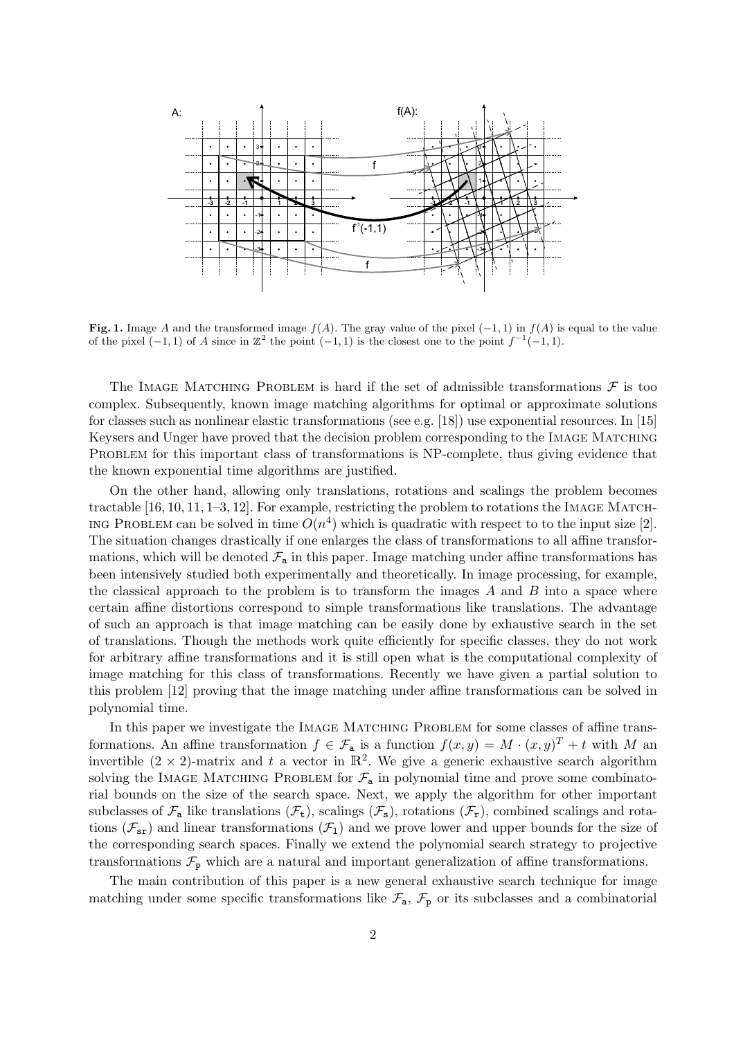

Fig. 1. Image A and the transformed image  $f(A)$ . The gray value of the pixel  $(-1, 1)$  in  $f(A)$  is equal to the value of the pixel  $(-1, 1)$  of A since in  $\mathbb{Z}^2$  the point  $(-1, 1)$  is the closest one to the point  $f^{-1}(-1, 1)$ .

The IMAGE MATCHING PROBLEM is hard if the set of admissible transformations  $\mathcal F$  is too complex. Subsequently, known image matching algorithms for optimal or approximate solutions for classes such as nonlinear elastic transformations (see e.g. [18]) use exponential resources. In [15] Keysers and Unger have proved that the decision problem corresponding to the Image Matching PROBLEM for this important class of transformations is NP-complete, thus giving evidence that the known exponential time algorithms are justified.

On the other hand, allowing only translations, rotations and scalings the problem becomes tractable  $[16, 10, 11, 1-3, 12]$ . For example, restricting the problem to rotations the IMAGE MATCH-ING PROBLEM can be solved in time  $O(n^4)$  which is quadratic with respect to to the input size [2]. The situation changes drastically if one enlarges the class of transformations to all affine transformations, which will be denoted  $\mathcal{F}_a$  in this paper. Image matching under affine transformations has been intensively studied both experimentally and theoretically. In image processing, for example, the classical approach to the problem is to transform the images  $A$  and  $B$  into a space where certain affine distortions correspond to simple transformations like translations. The advantage of such an approach is that image matching can be easily done by exhaustive search in the set of translations. Though the methods work quite efficiently for specific classes, they do not work for arbitrary affine transformations and it is still open what is the computational complexity of image matching for this class of transformations. Recently we have given a partial solution to this problem [12] proving that the image matching under affine transformations can be solved in polynomial time.

In this paper we investigate the IMAGE MATCHING PROBLEM for some classes of affine transformations. An affine transformation  $f \in \mathcal{F}_a$  is a function  $f(x, y) = M \cdot (x, y)^T + t$  with M an invertible  $(2 \times 2)$ -matrix and t a vector in  $\mathbb{R}^2$ . We give a generic exhaustive search algorithm solving the IMAGE MATCHING PROBLEM for  $\mathcal{F}_n$  in polynomial time and prove some combinatorial bounds on the size of the search space. Next, we apply the algorithm for other important subclasses of  $\mathcal{F}_a$  like translations  $(\mathcal{F}_t)$ , scalings  $(\mathcal{F}_s)$ , rotations  $(\mathcal{F}_r)$ , combined scalings and rotations  $(\mathcal{F}_{sr})$  and linear transformations  $(\mathcal{F}_{1})$  and we prove lower and upper bounds for the size of the corresponding search spaces. Finally we extend the polynomial search strategy to projective transformations  $\mathcal{F}_{p}$  which are a natural and important generalization of affine transformations.

The main contribution of this paper is a new general exhaustive search technique for image matching under some specific transformations like  $\mathcal{F}_a$ ,  $\mathcal{F}_p$  or its subclasses and a combinatorial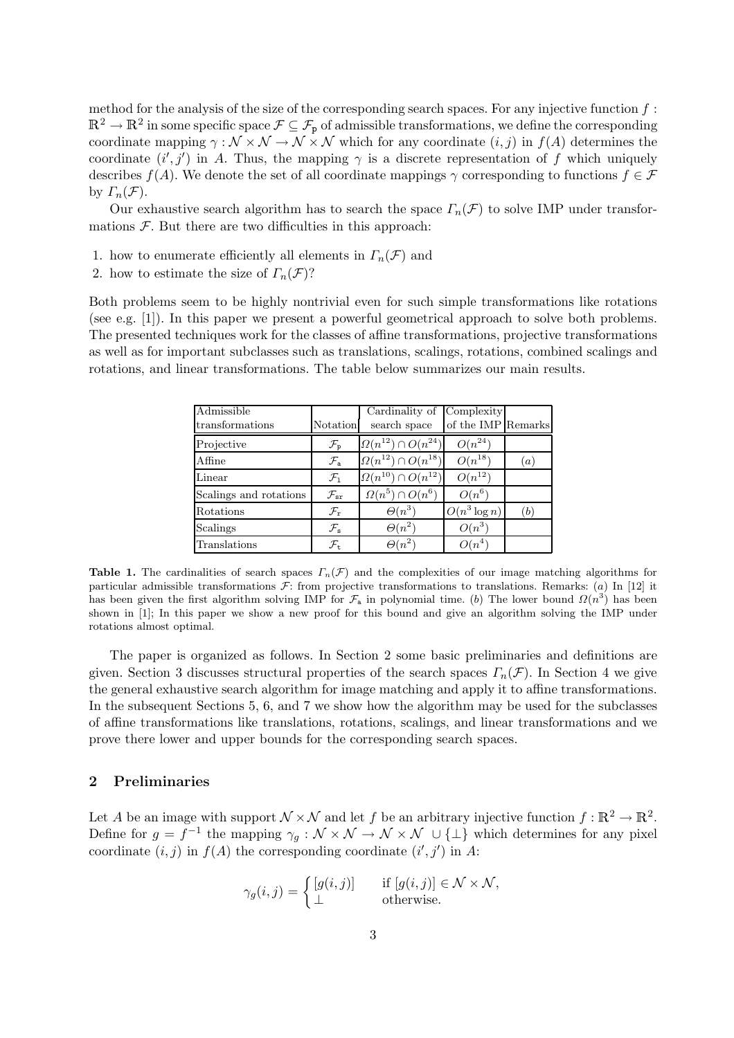method for the analysis of the size of the corresponding search spaces. For any injective function  $f$ :  $\mathbb{R}^2 \to \mathbb{R}^2$  in some specific space  $\mathcal{F} \subseteq \mathcal{F}_p$  of admissible transformations, we define the corresponding coordinate mapping  $\gamma : \mathcal{N} \times \mathcal{N} \to \mathcal{N} \times \mathcal{N}$  which for any coordinate  $(i, j)$  in  $f(A)$  determines the coordinate  $(i', j')$  in A. Thus, the mapping  $\gamma$  is a discrete representation of f which uniquely describes  $f(A)$ . We denote the set of all coordinate mappings  $\gamma$  corresponding to functions  $f \in \mathcal{F}$ by  $\Gamma_n(\mathcal{F})$ .

Our exhaustive search algorithm has to search the space  $\Gamma_n(\mathcal{F})$  to solve IMP under transformations  $\mathcal F$ . But there are two difficulties in this approach:

- 1. how to enumerate efficiently all elements in  $\Gamma_n(\mathcal{F})$  and
- 2. how to estimate the size of  $\Gamma_n(\mathcal{F})$ ?

Both problems seem to be highly nontrivial even for such simple transformations like rotations (see e.g. [1]). In this paper we present a powerful geometrical approach to solve both problems. The presented techniques work for the classes of affine transformations, projective transformations as well as for important subclasses such as translations, scalings, rotations, combined scalings and rotations, and linear transformations. The table below summarizes our main results.

| Admissible<br>transformations | Notation                    | Cardinality of<br>search space  | Complexity<br>of the IMP Remarks |     |
|-------------------------------|-----------------------------|---------------------------------|----------------------------------|-----|
| Projective                    | $\mathcal{F}_{\texttt{p}}$  | $\Omega(n^{12}) \cap O(n^{24})$ | $O(n^{24})$                      |     |
| Affine                        | $\mathcal{F}_{\rm a}$       | $\Omega(n^{12}) \cap O(n^{18})$ | $O(n^{18})$                      | (a) |
| Linear                        | $\mathcal{F}_1$             | $\Omega(n^{10}) \cap O(n^{12})$ | $O(n^{12})$                      |     |
| Scalings and rotations        | $\mathcal{F}_{\texttt{sr}}$ | $\Omega(n^5) \cap O(n^6)$       | $O(n^6)$                         |     |
| Rotations                     | $\mathcal{F}_{r}$           | $\Theta(n^3)$                   | $O(n^3 \log n)$                  | (b) |
| Scalings                      | $\mathcal{F}_{\rm s}$       | $\Theta(n^2)$                   | $O(n^3)$                         |     |
| Translations                  | $\mathcal{F}_{+}$           | $\Theta(n^2)$                   | $O(n^4)$                         |     |

Table 1. The cardinalities of search spaces  $\Gamma_n(\mathcal{F})$  and the complexities of our image matching algorithms for particular admissible transformations  $\mathcal F$ : from projective transformations to translations. Remarks: (a) In [12] it has been given the first algorithm solving IMP for  $\mathcal{F}_a$  in polynomial time. (b) The lower bound  $\Omega(n^3)$  has been shown in [1]; In this paper we show a new proof for this bound and give an algorithm solving the IMP under rotations almost optimal.

The paper is organized as follows. In Section 2 some basic preliminaries and definitions are given. Section 3 discusses structural properties of the search spaces  $\Gamma_n(\mathcal{F})$ . In Section 4 we give the general exhaustive search algorithm for image matching and apply it to affine transformations. In the subsequent Sections 5, 6, and 7 we show how the algorithm may be used for the subclasses of affine transformations like translations, rotations, scalings, and linear transformations and we prove there lower and upper bounds for the corresponding search spaces.

## 2 Preliminaries

Let A be an image with support  $\mathcal{N} \times \mathcal{N}$  and let f be an arbitrary injective function  $f : \mathbb{R}^2 \to \mathbb{R}^2$ . Define for  $g = f^{-1}$  the mapping  $\gamma_g : \mathcal{N} \times \mathcal{N} \to \mathcal{N} \times \mathcal{N} \cup \{\perp\}$  which determines for any pixel coordinate  $(i, j)$  in  $f(A)$  the corresponding coordinate  $(i', j')$  in A:

$$
\gamma_g(i,j) = \begin{cases} [g(i,j)] & \text{if } [g(i,j)] \in \mathcal{N} \times \mathcal{N}, \\ \perp & \text{otherwise.} \end{cases}
$$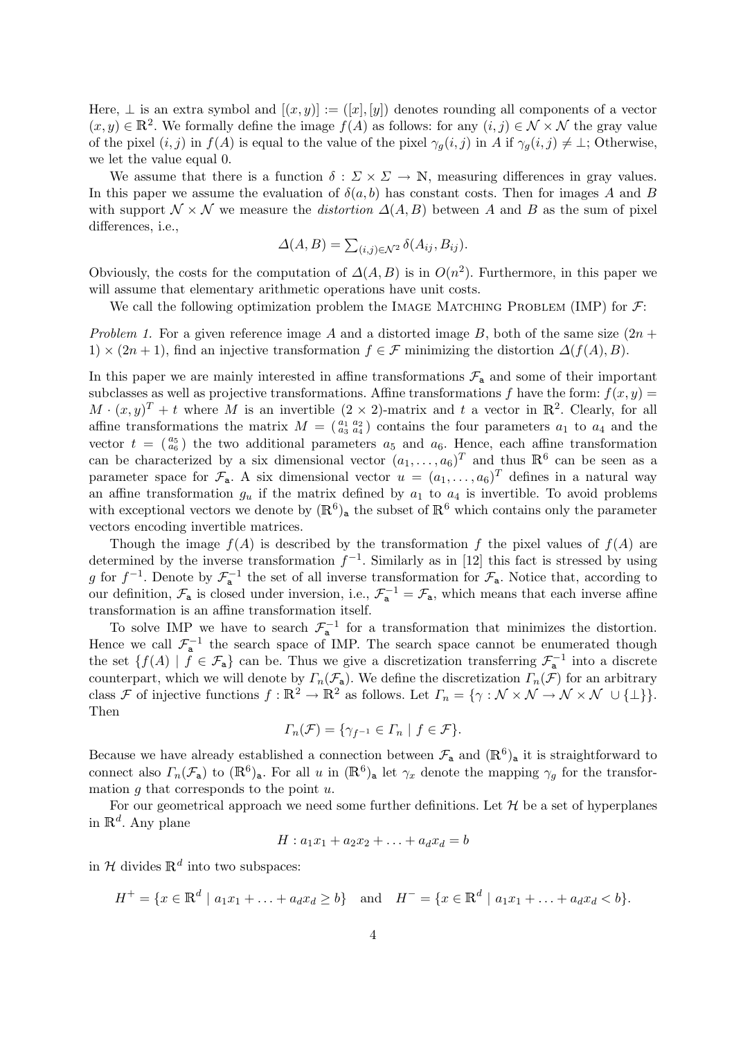Here,  $\perp$  is an extra symbol and  $[(x, y)] := ([x], [y])$  denotes rounding all components of a vector  $(x, y) \in \mathbb{R}^2$ . We formally define the image  $f(A)$  as follows: for any  $(i, j) \in \mathcal{N} \times \mathcal{N}$  the gray value of the pixel  $(i, j)$  in  $f(A)$  is equal to the value of the pixel  $\gamma_q(i, j)$  in A if  $\gamma_q(i, j) \neq \perp$ ; Otherwise, we let the value equal 0.

We assume that there is a function  $\delta : \Sigma \times \Sigma \to \mathbb{N}$ , measuring differences in gray values. In this paper we assume the evaluation of  $\delta(a, b)$  has constant costs. Then for images A and B with support  $\mathcal{N} \times \mathcal{N}$  we measure the *distortion*  $\Delta(A, B)$  between A and B as the sum of pixel differences, i.e.,

$$
\Delta(A, B) = \sum_{(i,j)\in\mathcal{N}^2} \delta(A_{ij}, B_{ij}).
$$

Obviously, the costs for the computation of  $\Delta(A, B)$  is in  $O(n^2)$ . Furthermore, in this paper we will assume that elementary arithmetic operations have unit costs.

We call the following optimization problem the IMAGE MATCHING PROBLEM (IMP) for  $\mathcal{F}$ :

Problem 1. For a given reference image A and a distorted image B, both of the same size  $(2n +$ 1)  $\times$  (2n + 1), find an injective transformation  $f \in \mathcal{F}$  minimizing the distortion  $\Delta(f(A), B)$ .

In this paper we are mainly interested in affine transformations  $\mathcal{F}_a$  and some of their important subclasses as well as projective transformations. Affine transformations f have the form:  $f(x, y)$  $M \cdot (x, y)^T + t$  where M is an invertible  $(2 \times 2)$ -matrix and t a vector in  $\mathbb{R}^2$ . Clearly, for all affine transformations the matrix  $M = \begin{pmatrix} a_1 & a_2 \\ a_3 & a_4 \end{pmatrix}$  contains the four parameters  $a_1$  to  $a_4$  and the vector  $t = \begin{pmatrix} a_5 \\ a_6 \end{pmatrix}$  the two additional parameters  $a_5$  and  $a_6$ . Hence, each affine transformation can be characterized by a six dimensional vector  $(a_1, \ldots, a_6)^T$  and thus  $\mathbb{R}^6$  can be seen as a parameter space for  $\mathcal{F}_a$ . A six dimensional vector  $u = (a_1, \ldots, a_6)^T$  defines in a natural way an affine transformation  $g_u$  if the matrix defined by  $a_1$  to  $a_4$  is invertible. To avoid problems with exceptional vectors we denote by  $(\mathbb{R}^6)_{\text{a}}$  the subset of  $\mathbb{R}^6$  which contains only the parameter vectors encoding invertible matrices.

Though the image  $f(A)$  is described by the transformation f the pixel values of  $f(A)$  are determined by the inverse transformation  $f^{-1}$ . Similarly as in [12] this fact is stressed by using g for  $f^{-1}$ . Denote by  $\mathcal{F}_{a}^{-1}$  the set of all inverse transformation for  $\mathcal{F}_{a}$ . Notice that, according to our definition,  $\mathcal{F}_a$  is closed under inversion, i.e.,  $\mathcal{F}_a^{-1} = \mathcal{F}_a$ , which means that each inverse affine transformation is an affine transformation itself.

To solve IMP we have to search  $\mathcal{F}_{a}^{-1}$  for a transformation that minimizes the distortion. Hence we call  $\mathcal{F}_{a}^{-1}$  the search space of IMP. The search space cannot be enumerated though the set  $\{f(A) \mid f \in \mathcal{F}_a\}$  can be. Thus we give a discretization transferring  $\mathcal{F}_a^{-1}$  into a discrete counterpart, which we will denote by  $\Gamma_n(\mathcal{F}_a)$ . We define the discretization  $\Gamma_n(\mathcal{F})$  for an arbitrary class F of injective functions  $f : \mathbb{R}^2 \to \mathbb{R}^2$  as follows. Let  $\Gamma_n = \{ \gamma : \mathcal{N} \times \mathcal{N} \to \mathcal{N} \times \mathcal{N} \cup \{\perp\} \}.$ Then

$$
\Gamma_n(\mathcal{F}) = \{ \gamma_{f^{-1}} \in \Gamma_n \mid f \in \mathcal{F} \}.
$$

Because we have already established a connection between  $\mathcal{F}_a$  and  $(\mathbb{R}^6)_a$  it is straightforward to connect also  $\Gamma_n(\mathcal{F}_a)$  to  $(\mathbb{R}^6)_a$ . For all u in  $(\mathbb{R}^6)_a$  let  $\gamma_x$  denote the mapping  $\gamma_g$  for the transformation  $q$  that corresponds to the point  $u$ .

For our geometrical approach we need some further definitions. Let  $\mathcal H$  be a set of hyperplanes in  $\mathbb{R}^d$ . Any plane

$$
H: a_1x_1 + a_2x_2 + \ldots + a_dx_d = b
$$

in  $\mathcal H$  divides  $\mathbb R^d$  into two subspaces:

$$
H^+ = \{x \in \mathbb{R}^d \mid a_1x_1 + \ldots + a_dx_d \ge b\} \quad \text{and} \quad H^- = \{x \in \mathbb{R}^d \mid a_1x_1 + \ldots + a_dx_d < b\}.
$$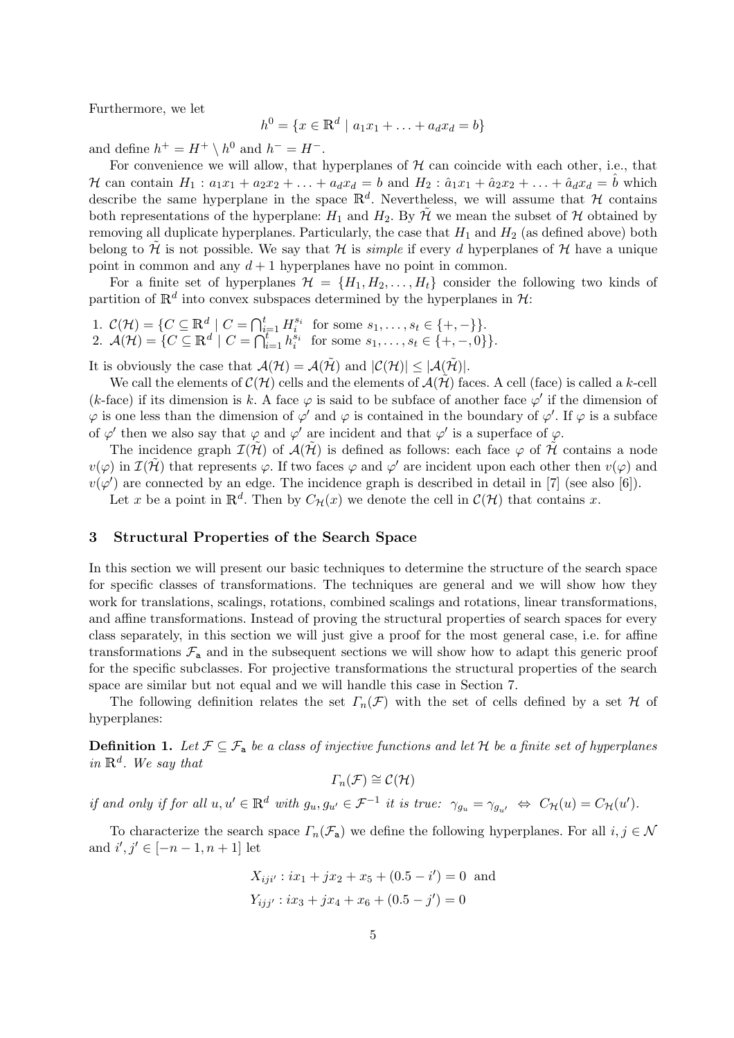Furthermore, we let

$$
h^{0} = \{x \in \mathbb{R}^{d} \mid a_{1}x_{1} + \ldots + a_{d}x_{d} = b\}
$$

and define  $h^+ = H^+ \setminus h^0$  and  $h^- = H^-$ .

For convenience we will allow, that hyperplanes of  $H$  can coincide with each other, i.e., that H can contain  $H_1: a_1x_1 + a_2x_2 + ... + a_dx_d = b$  and  $H_2: \hat{a}_1x_1 + \hat{a}_2x_2 + ... + \hat{a}_dx_d = \hat{b}$  which describe the same hyperplane in the space  $\mathbb{R}^d$ . Nevertheless, we will assume that H contains both representations of the hyperplane:  $H_1$  and  $H_2$ . By  $\tilde{\mathcal{H}}$  we mean the subset of  $\mathcal{H}$  obtained by removing all duplicate hyperplanes. Particularly, the case that  $H_1$  and  $H_2$  (as defined above) both belong to H is not possible. We say that H is *simple* if every d hyperplanes of H have a unique point in common and any  $d+1$  hyperplanes have no point in common.

For a finite set of hyperplanes  $\mathcal{H} = \{H_1, H_2, \ldots, H_t\}$  consider the following two kinds of partition of  $\mathbb{R}^d$  into convex subspaces determined by the hyperplanes in  $\mathcal{H}$ :

1.  $C(\mathcal{H}) = \{ C \subseteq \mathbb{R}^d \mid C = \bigcap_{i=1}^t H_i^{s_i} \text{ for some } s_1, \dots, s_t \in \{+, -\} \}.$ 2.  $\mathcal{A}(\mathcal{H}) = \{ C \subseteq \mathbb{R}^d \mid C = \bigcap_{i=1}^t h_i^{s_i} \text{ for some } s_1, \dots, s_t \in \{+, -, 0\} \}.$ 

It is obviously the case that  $\mathcal{A}(\mathcal{H}) = \mathcal{A}(\tilde{\mathcal{H}})$  and  $|\mathcal{C}(\mathcal{H})| \leq |\mathcal{A}(\tilde{\mathcal{H}})|$ .

We call the elements of  $\mathcal{C}(\mathcal{H})$  cells and the elements of  $\mathcal{A}(\mathcal{H})$  faces. A cell (face) is called a k-cell (k-face) if its dimension is k. A face  $\varphi$  is said to be subface of another face  $\varphi'$  if the dimension of  $\varphi$  is one less than the dimension of  $\varphi'$  and  $\varphi$  is contained in the boundary of  $\varphi'$ . If  $\varphi$  is a subface of  $\varphi'$  then we also say that  $\varphi$  and  $\varphi'$  are incident and that  $\varphi'$  is a superface of  $\varphi$ .

The incidence graph  $\mathcal{I}(\mathcal{H})$  of  $\mathcal{A}(\mathcal{H})$  is defined as follows: each face  $\varphi$  of H contains a node  $v(\varphi)$  in  $\mathcal{I}(\tilde{\mathcal{H}})$  that represents  $\varphi$ . If two faces  $\varphi$  and  $\varphi'$  are incident upon each other then  $v(\varphi)$  and  $v(\varphi')$  are connected by an edge. The incidence graph is described in detail in [7] (see also [6]).

Let x be a point in  $\mathbb{R}^d$ . Then by  $C_{\mathcal{H}}(x)$  we denote the cell in  $\mathcal{C}(\mathcal{H})$  that contains x.

## 3 Structural Properties of the Search Space

In this section we will present our basic techniques to determine the structure of the search space for specific classes of transformations. The techniques are general and we will show how they work for translations, scalings, rotations, combined scalings and rotations, linear transformations, and affine transformations. Instead of proving the structural properties of search spaces for every class separately, in this section we will just give a proof for the most general case, i.e. for affine transformations  $\mathcal{F}_a$  and in the subsequent sections we will show how to adapt this generic proof for the specific subclasses. For projective transformations the structural properties of the search space are similar but not equal and we will handle this case in Section 7.

The following definition relates the set  $\Gamma_n(\mathcal{F})$  with the set of cells defined by a set H of hyperplanes:

**Definition 1.** Let  $\mathcal{F} \subseteq \mathcal{F}_a$  be a class of injective functions and let H be a finite set of hyperplanes in  $\mathbb{R}^d$ . We say that

$$
\Gamma_n(\mathcal{F})\cong\mathcal{C}(\mathcal{H})
$$

if and only if for all  $u, u' \in \mathbb{R}^d$  with  $g_u, g_{u'} \in \mathcal{F}^{-1}$  it is true:  $\gamma_{g_u} = \gamma_{g_{u'}} \Leftrightarrow C_{\mathcal{H}}(u) = C_{\mathcal{H}}(u').$ 

To characterize the search space  $\Gamma_n(\mathcal{F}_a)$  we define the following hyperplanes. For all  $i, j \in \mathcal{N}$ and  $i', j' \in [-n-1, n+1]$  let

$$
X_{iji'} : ix_1 + jx_2 + x_5 + (0.5 - i') = 0
$$
 and  

$$
Y_{ijj'} : ix_3 + jx_4 + x_6 + (0.5 - j') = 0
$$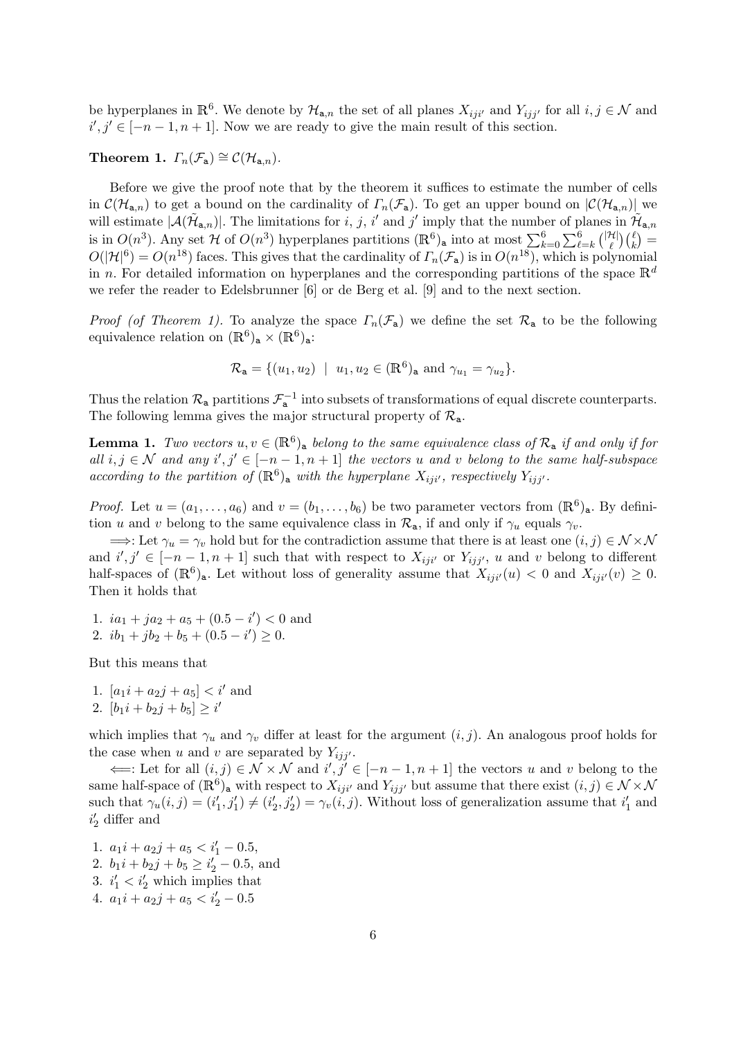be hyperplanes in  $\mathbb{R}^6$ . We denote by  $\mathcal{H}_{a,n}$  the set of all planes  $X_{ij}$  and  $Y_{ij}$  for all  $i, j \in \mathcal{N}$  and  $i', j' \in [-n-1, n+1]$ . Now we are ready to give the main result of this section.

Theorem 1.  $\Gamma_n(\mathcal{F}_a) \cong \mathcal{C}(\mathcal{H}_{a,n}).$ 

Before we give the proof note that by the theorem it suffices to estimate the number of cells in  $\mathcal{C}(\mathcal{H}_{a,n})$  to get a bound on the cardinality of  $\Gamma_n(\mathcal{F}_a)$ . To get an upper bound on  $|\mathcal{C}(\mathcal{H}_{a,n})|$  we will estimate  $|\mathcal{A}(\tilde{\mathcal{H}}_{a,n})|$ . The limitations for i, j, i' and j' imply that the number of planes in  $\tilde{\mathcal{H}}_{a,n}$ is in  $O(n^3)$ . Any set H of  $O(n^3)$  hyperplanes partitions  $(\mathbb{R}^6)_{\mathsf{a}}$  into at most  $\sum_{k=0}^6 \sum_{\ell=k}^6 {\frac{|\mathcal{H}|}{\ell}}$  $\binom{H}{\ell}\binom{\ell}{k} =$  $O(|\mathcal{H}|^6) = O(n^{18})$  faces. This gives that the cardinality of  $\Gamma_n(\mathcal{F}_a)$  is in  $O(n^{18})$ , which is polynomial in n. For detailed information on hyperplanes and the corresponding partitions of the space  $\mathbb{R}^d$ we refer the reader to Edelsbrunner [6] or de Berg et al. [9] and to the next section.

*Proof (of Theorem 1).* To analyze the space  $\Gamma_n(\mathcal{F}_a)$  we define the set  $\mathcal{R}_a$  to be the following equivalence relation on  $(\mathbb{R}^6)_{\mathsf{a}} \times (\mathbb{R}^6)_{\mathsf{a}}$ :

$$
\mathcal{R}_{\mathbf{a}} = \{ (u_1, u_2) \mid u_1, u_2 \in (\mathbb{R}^6)_{\mathbf{a}} \text{ and } \gamma_{u_1} = \gamma_{u_2} \}.
$$

Thus the relation  $\mathcal{R}_a$  partitions  $\mathcal{F}_a^{-1}$  into subsets of transformations of equal discrete counterparts. The following lemma gives the major structural property of  $\mathcal{R}_{a}$ .

**Lemma 1.** Two vectors  $u, v \in (\mathbb{R}^6)_{\text{a}}$  belong to the same equivalence class of  $\mathcal{R}_{\text{a}}$  if and only if for all  $i, j \in \mathcal{N}$  and any  $i', j' \in [-n-1, n+1]$  the vectors u and v belong to the same half-subspace according to the partition of  $(\mathbb{R}^6)_{\text{a}}$  with the hyperplane  $X_{ij}$ , respectively  $Y_{ij}$ .

*Proof.* Let  $u = (a_1, \ldots, a_6)$  and  $v = (b_1, \ldots, b_6)$  be two parameter vectors from  $(\mathbb{R}^6)_{\mathsf{a}}$ . By definition u and v belong to the same equivalence class in  $\mathcal{R}_a$ , if and only if  $\gamma_u$  equals  $\gamma_v$ .

 $\implies$ : Let  $\gamma_u = \gamma_v$  hold but for the contradiction assume that there is at least one  $(i, j) \in \mathcal{N} \times \mathcal{N}$ and  $i', j' \in [-n-1, n+1]$  such that with respect to  $X_{ij}i'$  or  $Y_{ij}j'$ , u and v belong to different half-spaces of  $(\mathbb{R}^6)_{\mathsf{a}}$ . Let without loss of generality assume that  $X_{iji'}(u) < 0$  and  $X_{iji'}(v) \geq 0$ . Then it holds that

1.  $ia_1 + ja_2 + a_5 + (0.5 - i') < 0$  and 2.  $ib_1 + jb_2 + b_5 + (0.5 - i') \ge 0.$ 

But this means that

1.  $[a_1 i + a_2 j + a_5] < i'$  and 2.  $[b_1i + b_2j + b_5] \geq i'$ 

which implies that  $\gamma_u$  and  $\gamma_v$  differ at least for the argument  $(i, j)$ . An analogous proof holds for the case when u and v are separated by  $Y_{ijj'}$ .

 $\Leftarrow$ : Let for all  $(i, j) \in \mathcal{N} \times \mathcal{N}$  and  $i', j' \in [-n-1, n+1]$  the vectors u and v belong to the same half-space of  $(\mathbb{R}^6)$ <sub>a</sub> with respect to  $X_{ij}i'$  and  $Y_{ij}j'$  but assume that there exist  $(i, j) \in \mathcal{N} \times \mathcal{N}$ such that  $\gamma_u(i,j) = (i'_1, j'_1) \neq (i'_2, j'_2) = \gamma_v(i,j)$ . Without loss of generalization assume that  $i'_1$  and  $i'_2$  differ and

1.  $a_1i + a_2j + a_5 < i'_1 - 0.5$ , 2.  $b_1i + b_2j + b_5 \ge i'_2 - 0.5$ , and 3.  $i'_1 < i'_2$  which implies that 4.  $a_1i + a_2j + a_5 < i'_2 - 0.5$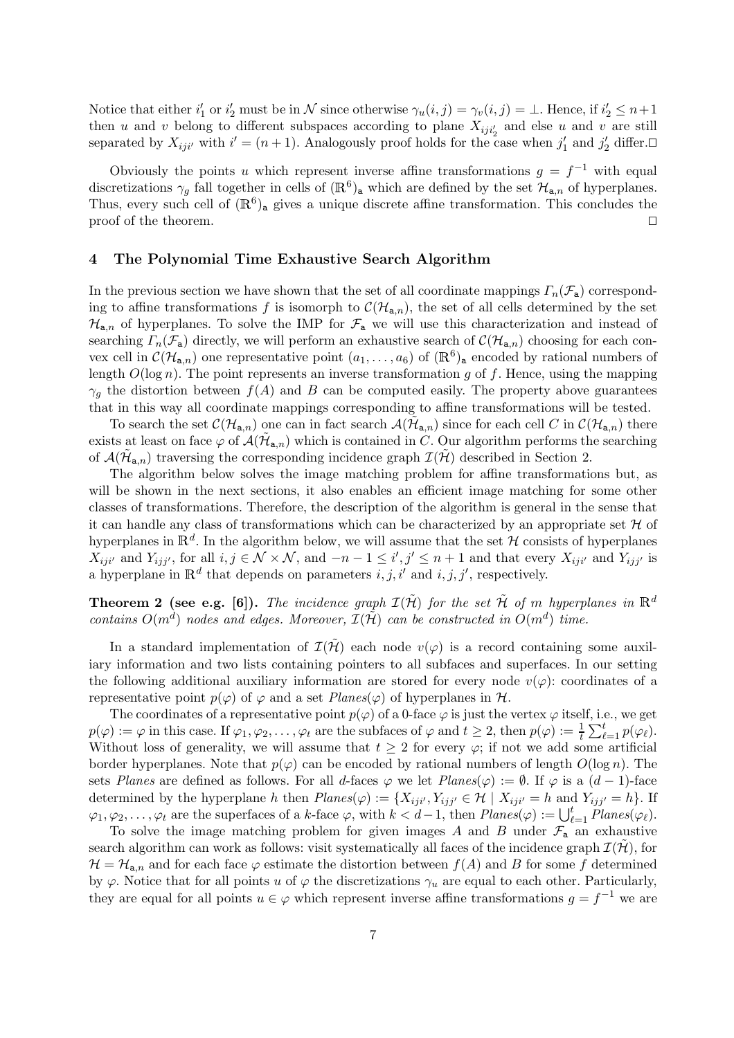Notice that either  $i'_1$  or  $i'_2$  must be in N since otherwise  $\gamma_u(i,j) = \gamma_v(i,j) = \bot$ . Hence, if  $i'_2 \leq n+1$ then u and v belong to different subspaces according to plane  $X_{iji'_2}$  and else u and v are still separated by  $X_{ij}$  with  $i' = (n + 1)$ . Analogously proof holds for the case when  $j'_1$  and  $j'_2$  differ.

Obviously the points u which represent inverse affine transformations  $g = f^{-1}$  with equal discretizations  $\gamma_g$  fall together in cells of  $(\mathbb{R}^6)_{\mathsf{a}}$  which are defined by the set  $\mathcal{H}_{\mathsf{a},n}$  of hyperplanes. Thus, every such cell of  $(\mathbb{R}^6)_{\mathsf{a}}$  gives a unique discrete affine transformation. This concludes the proof of the theorem.  $\Box$ 

## 4 The Polynomial Time Exhaustive Search Algorithm

In the previous section we have shown that the set of all coordinate mappings  $\Gamma_n(\mathcal{F}_a)$  corresponding to affine transformations f is isomorph to  $\mathcal{C}(\mathcal{H}_{a,n})$ , the set of all cells determined by the set  $\mathcal{H}_{a,n}$  of hyperplanes. To solve the IMP for  $\mathcal{F}_a$  we will use this characterization and instead of searching  $\Gamma_n(\mathcal{F}_a)$  directly, we will perform an exhaustive search of  $\mathcal{C}(\mathcal{H}_{a,n})$  choosing for each convex cell in  $\mathcal{C}(\mathcal{H}_{\mathbf{a},n})$  one representative point  $(a_1,\ldots,a_6)$  of  $(\mathbb{R}^6)_{\mathbf{a}}$  encoded by rational numbers of length  $O(\log n)$ . The point represents an inverse transformation g of f. Hence, using the mapping  $\gamma_q$  the distortion between  $f(A)$  and B can be computed easily. The property above guarantees that in this way all coordinate mappings corresponding to affine transformations will be tested.

To search the set  $\mathcal{C}(\mathcal{H}_{\mathbf{a},n})$  one can in fact search  $\mathcal{A}(\tilde{\mathcal{H}}_{\mathbf{a},n})$  since for each cell C in  $\mathcal{C}(\mathcal{H}_{\mathbf{a},n})$  there exists at least on face  $\varphi$  of  $\mathcal{A}(\tilde{\mathcal{H}}_{a,n})$  which is contained in C. Our algorithm performs the searching of  $\mathcal{A}(\tilde{\mathcal{H}}_{a,n})$  traversing the corresponding incidence graph  $\mathcal{I}(\tilde{\mathcal{H}})$  described in Section 2.

The algorithm below solves the image matching problem for affine transformations but, as will be shown in the next sections, it also enables an efficient image matching for some other classes of transformations. Therefore, the description of the algorithm is general in the sense that it can handle any class of transformations which can be characterized by an appropriate set  $\mathcal H$  of hyperplanes in  $\mathbb{R}^d$ . In the algorithm below, we will assume that the set H consists of hyperplanes  $X_{iji'}$  and  $Y_{ijj'}$ , for all  $i, j \in \mathcal{N} \times \mathcal{N}$ , and  $-n-1 \leq i', j' \leq n+1$  and that every  $X_{iji'}$  and  $Y_{ijj'}$  is a hyperplane in  $\mathbb{R}^d$  that depends on parameters i, j, i' and i, j, j', respectively.

**Theorem 2 (see e.g. [6]).** The incidence graph  $\mathcal{I}(\tilde{\mathcal{H}})$  for the set  $\tilde{\mathcal{H}}$  of m hyperplanes in  $\mathbb{R}^d$ contains  $O(m^d)$  nodes and edges. Moreover,  $\mathcal{I}(\tilde{\mathcal{H}})$  can be constructed in  $O(m^d)$  time.

In a standard implementation of  $\mathcal{I}(\tilde{\mathcal{H}})$  each node  $v(\varphi)$  is a record containing some auxiliary information and two lists containing pointers to all subfaces and superfaces. In our setting the following additional auxiliary information are stored for every node  $v(\varphi)$ : coordinates of a representative point  $p(\varphi)$  of  $\varphi$  and a set  $Planes(\varphi)$  of hyperplanes in  $\mathcal{H}$ .

The coordinates of a representative point  $p(\varphi)$  of a 0-face  $\varphi$  is just the vertex  $\varphi$  itself, i.e., we get  $p(\varphi) := \varphi$  in this case. If  $\varphi_1, \varphi_2, \ldots, \varphi_t$  are the subfaces of  $\varphi$  and  $t \geq 2$ , then  $p(\varphi) := \frac{1}{t} \sum_{\ell=1}^t p(\varphi_\ell)$ . Without loss of generality, we will assume that  $t \geq 2$  for every  $\varphi$ ; if not we add some artificial border hyperplanes. Note that  $p(\varphi)$  can be encoded by rational numbers of length  $O(\log n)$ . The sets Planes are defined as follows. For all d-faces  $\varphi$  we let  $Planes(\varphi) := \emptyset$ . If  $\varphi$  is a  $(d-1)$ -face determined by the hyperplane h then  $Planes(\varphi) := \{X_{ij}i', Y_{ij}j' \in \mathcal{H} \mid X_{ij}i' = h \text{ and } Y_{ij}j' = h\}.$  If  $\varphi_1, \varphi_2, \ldots, \varphi_t$  are the superfaces of a k-face  $\varphi$ , with  $k < d-1$ , then  $Planes(\varphi) := \bigcup_{\ell=1}^t Planes(\varphi_\ell)$ .

To solve the image matching problem for given images A and B under  $\mathcal{F}_a$  an exhaustive search algorithm can work as follows: visit systematically all faces of the incidence graph  $\mathcal{I}(\mathcal{H})$ , for  $\mathcal{H} = \mathcal{H}_{a,n}$  and for each face  $\varphi$  estimate the distortion between  $f(A)$  and B for some f determined by  $\varphi$ . Notice that for all points u of  $\varphi$  the discretizations  $\gamma_u$  are equal to each other. Particularly, they are equal for all points  $u \in \varphi$  which represent inverse affine transformations  $g = f^{-1}$  we are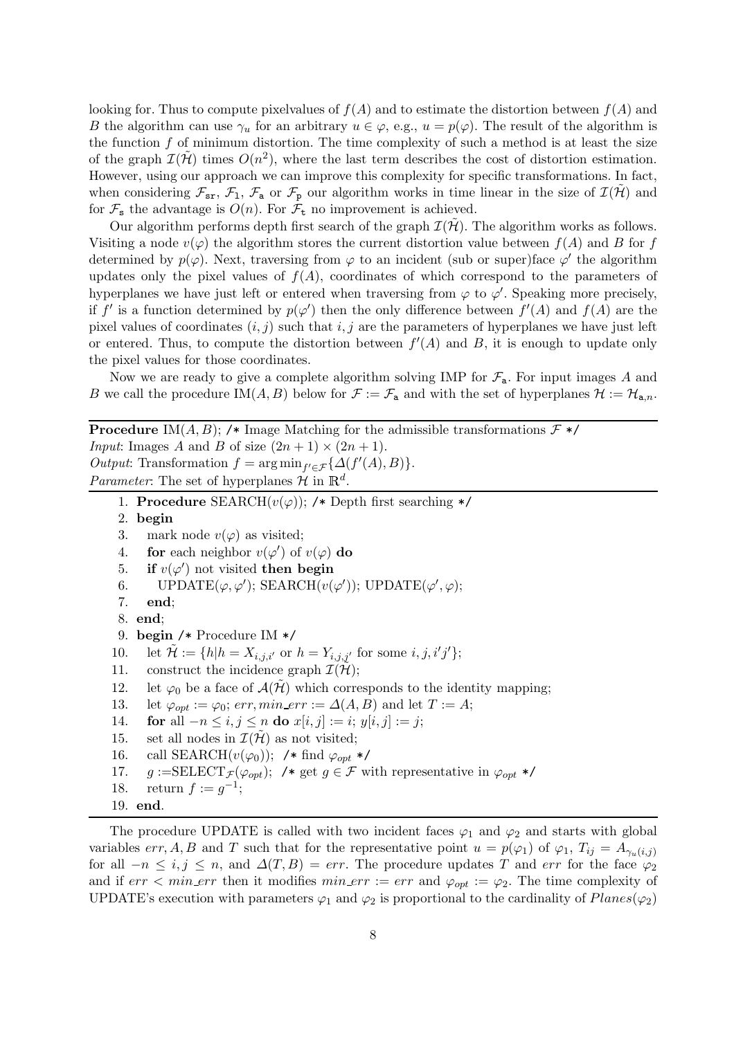looking for. Thus to compute pixelvalues of  $f(A)$  and to estimate the distortion between  $f(A)$  and B the algorithm can use  $\gamma_u$  for an arbitrary  $u \in \varphi$ , e.g.,  $u = p(\varphi)$ . The result of the algorithm is the function  $f$  of minimum distortion. The time complexity of such a method is at least the size of the graph  $\mathcal{I}(\tilde{\mathcal{H}})$  times  $O(n^2)$ , where the last term describes the cost of distortion estimation. However, using our approach we can improve this complexity for specific transformations. In fact, when considering  $\mathcal{F}_{sr}$ ,  $\mathcal{F}_{1}$ ,  $\mathcal{F}_{a}$  or  $\mathcal{F}_{p}$  our algorithm works in time linear in the size of  $\mathcal{I}(\mathcal{H})$  and for  $\mathcal{F}_s$  the advantage is  $O(n)$ . For  $\mathcal{F}_t$  no improvement is achieved.

Our algorithm performs depth first search of the graph  $\mathcal{I}(\mathcal{H})$ . The algorithm works as follows. Visiting a node  $v(\varphi)$  the algorithm stores the current distortion value between  $f(A)$  and B for f determined by  $p(\varphi)$ . Next, traversing from  $\varphi$  to an incident (sub or super)face  $\varphi'$  the algorithm updates only the pixel values of  $f(A)$ , coordinates of which correspond to the parameters of hyperplanes we have just left or entered when traversing from  $\varphi$  to  $\varphi'$ . Speaking more precisely, if f' is a function determined by  $p(\varphi')$  then the only difference between  $f'(A)$  and  $f(A)$  are the pixel values of coordinates  $(i, j)$  such that  $i, j$  are the parameters of hyperplanes we have just left or entered. Thus, to compute the distortion between  $f'(A)$  and B, it is enough to update only the pixel values for those coordinates.

Now we are ready to give a complete algorithm solving IMP for  $\mathcal{F}_{a}$ . For input images A and B we call the procedure IM $(A, B)$  below for  $\mathcal{F} := \mathcal{F}_a$  and with the set of hyperplanes  $\mathcal{H} := \mathcal{H}_{a,n}$ .

**Procedure** IM(A, B); /\* Image Matching for the admissible transformations  $\mathcal{F}$  \*/ *Input*: Images A and B of size  $(2n + 1) \times (2n + 1)$ . Output: Transformation  $f = \arg \min_{f' \in \mathcal{F}} \{ \Delta(f'(A), B) \}.$ *Parameter*: The set of hyperplanes  $\mathcal{H}$  in  $\mathbb{R}^d$ .

- 1. Procedure SEARCH $(v(\varphi))$ ; /\* Depth first searching \*/
- 2. begin
- 3. mark node  $v(\varphi)$  as visited;
- 4. **for** each neighbor  $v(\varphi')$  of  $v(\varphi)$  **do**
- 5. if  $v(\varphi')$  not visited then begin
- 6. UPDATE( $\varphi, \varphi'$ ); SEARCH( $v(\varphi')$ ); UPDATE( $\varphi', \varphi$ );
- 7. end;
- 8. end;

```
9. begin /* Procedure IM */
```
- 10. let  $\tilde{\mathcal{H}} := \{ h | h = X_{i,j,i'} \text{ or } h = Y_{i,j,j'} \text{ for some } i, j, i'j' \};$
- 11. construct the incidence graph  $\mathcal{I}(\mathcal{H});$
- 12. let  $\varphi_0$  be a face of  $\mathcal{A}(\mathcal{H})$  which corresponds to the identity mapping;
- 13. let  $\varphi_{opt} := \varphi_0$ ;  $err, min\_err := \Delta(A, B)$  and let  $T := A$ ;
- 14. **for** all  $-n \le i, j \le n$  **do**  $x[i, j] := i$ ;  $y[i, j] := j$ ;<br>15. set all nodes in  $\mathcal{I}(\tilde{\mathcal{H}})$  as not visited;
- 15. set all nodes in  $\mathcal{I}(\mathcal{H})$  as not visited;<br>16. call SEARCH $(v(\varphi_0))$ ; /\* find  $\varphi_{\text{out}}$
- call SEARCH( $v(\varphi_0)$ ); /\* find  $\varphi_{opt}$  \*/
- 17.  $g := \text{SELECT}_{\mathcal{F}}(\varphi_{opt});$  /\* get  $g \in \mathcal{F}$  with representative in  $\varphi_{opt}$  \*/<br>18. return  $f := q^{-1}$ ;
- 18. return  $f := g^{-1}$ ;
- 19. end.

The procedure UPDATE is called with two incident faces  $\varphi_1$  and  $\varphi_2$  and starts with global variables err, A, B and T such that for the representative point  $u = p(\varphi_1)$  of  $\varphi_1$ ,  $T_{ij} = A_{\gamma_u(i,j)}$ for all  $-n \le i, j \le n$ , and  $\Delta(T, B) = err$ . The procedure updates T and err for the face  $\varphi_2$ and if  $err < min\_err$  then it modifies  $min\_err := err$  and  $\varphi_{opt} := \varphi_2$ . The time complexity of UPDATE's execution with parameters  $\varphi_1$  and  $\varphi_2$  is proportional to the cardinality of  $Planes(\varphi_2)$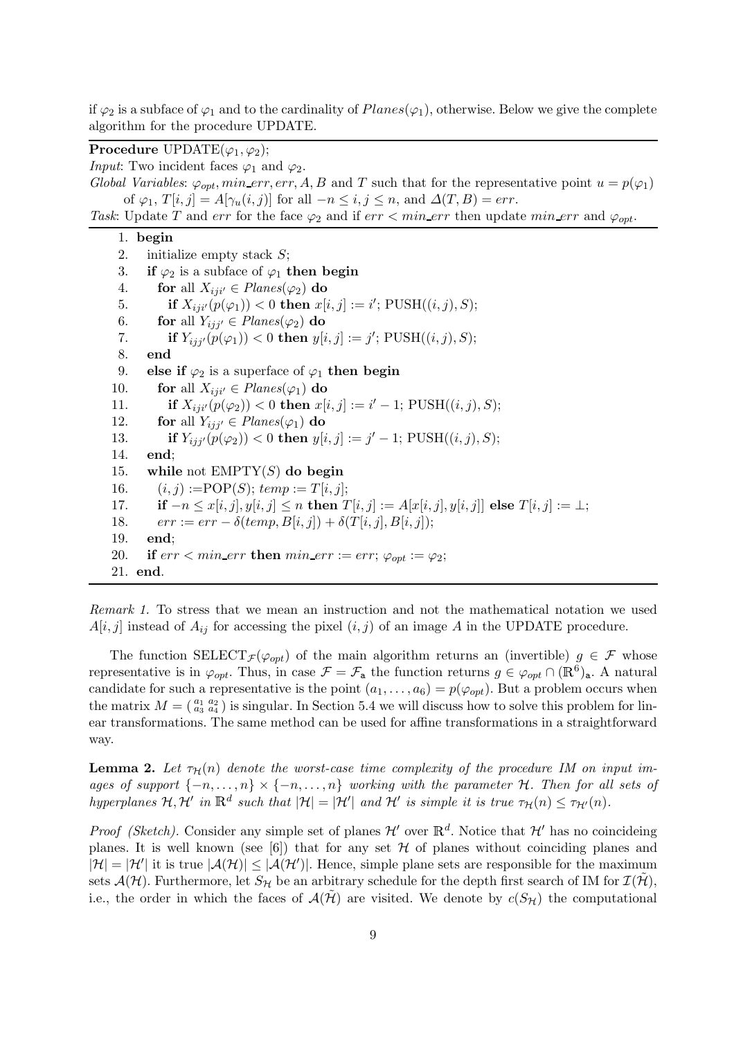if  $\varphi_2$  is a subface of  $\varphi_1$  and to the cardinality of  $Planes(\varphi_1)$ , otherwise. Below we give the complete algorithm for the procedure UPDATE.

**Procedure** UPDATE( $\varphi_1, \varphi_2$ );

*Input*: Two incident faces  $\varphi_1$  and  $\varphi_2$ .

Global Variables:  $\varphi_{opt}$ , min\_err, err, A, B and T such that for the representative point  $u = p(\varphi_1)$ of  $\varphi_1$ ,  $T[i, j] = A[\gamma_u(i, j)]$  for all  $-n \leq i, j \leq n$ , and  $\Delta(T, B) = err$ .

Task: Update T and err for the face  $\varphi_2$  and if  $err < min\_err$  then update  $min\_err$  and  $\varphi_{opt}$ .

## 1. begin

2. initialize empty stack S; 3. if  $\varphi_2$  is a subface of  $\varphi_1$  then begin 4. **for** all  $X_{ij} = Planes(\varphi_2)$  **do**<br>5. **if**  $X_{ij} = \varphi(0) = 0$  **then**  $x[i]$ 5. if  $X_{iji'}(p(\varphi_1)) < 0$  then  $x[i, j] := i'$ ;  $\text{PUSH}((i, j), S)$ ; 6. **for** all  $Y_{ijj'} \in Planes(\varphi_2)$  **do**<br>7. **if**  $Y_{ijij'}(p(\varphi_1)) < 0$  **then**  $y[i]$ 7. **if**  $Y_{ijj'}(p(\varphi_1)) < 0$  then  $y[i, j] := j'$ ;  $\text{PUSH}((i, j), S)$ ; 8. end 9. else if  $\varphi_2$  is a superface of  $\varphi_1$  then begin 10. **for** all  $X_{ij}$ <sup> $i' \in Planes(\varphi_1)$  **do**<br>11. **if**  $X_{ij}$ <sup> $i'(p(\varphi_2))$  < 0 **then**  $x[i]$ </sup></sup> 11. **if**  $X_{iji'}(p(\varphi_2)) < 0$  then  $x[i, j] := i' - 1$ ; PUSH $((i, j), S)$ ; 12. **for** all  $Y_{ijj'} \in Planes(\varphi_1)$  **do**<br>13. **if**  $Y_{ijj'}(p(\varphi_2)) < 0$  **then**  $y[i]$ 13. **if**  $Y_{ijj'}(p(\varphi_2)) < 0$  then  $y[i, j] := j' - 1$ ; PUSH $((i, j), S)$ ; 14. end; 15. while not  $EMPTY(S)$  do begin 16.  $(i, j) := POP(S); temp := T[i, j];$ 17. **if**  $-n \leq x[i, j], y[i, j] \leq n$  then  $T[i, j] := A[x[i, j], y[i, j]]$  else  $T[i, j] := \perp;$ <br>18.  $err := err - \delta$ (*temp*,  $B[i, j] + \delta(T[i, j], B[i, j])$ ; 18.  $err := err - \delta(temp, B[i, j]) + \delta(T[i, j], B[i, j]);$ <br>19. **end**: end: 20. if  $err < min\_err$  then  $min\_err := err$ ;  $\varphi_{opt} := \varphi_2$ ; 21. end.

Remark 1. To stress that we mean an instruction and not the mathematical notation we used  $A[i, j]$  instead of  $A_{ij}$  for accessing the pixel  $(i, j)$  of an image A in the UPDATE procedure.

The function SELECT<sub>F</sub>( $\varphi_{opt}$ ) of the main algorithm returns an (invertible)  $g \in \mathcal{F}$  whose representative is in  $\varphi_{opt}$ . Thus, in case  $\mathcal{F} = \mathcal{F}_{a}$  the function returns  $g \in \varphi_{opt} \cap (\mathbb{R}^6)_{a}$ . A natural candidate for such a representative is the point  $(a_1, \ldots, a_6) = p(\varphi_{opt})$ . But a problem occurs when the matrix  $M = \begin{pmatrix} a_1 & a_2 \\ a_3 & a_4 \end{pmatrix}$  is singular. In Section 5.4 we will discuss how to solve this problem for linear transformations. The same method can be used for affine transformations in a straightforward way.

**Lemma 2.** Let  $\tau_H(n)$  denote the worst-case time complexity of the procedure IM on input images of support  $\{-n, \ldots, n\} \times \{-n, \ldots, n\}$  working with the parameter H. Then for all sets of hyperplanes  $\mathcal{H}, \mathcal{H}'$  in  $\mathbb{R}^d$  such that  $|\mathcal{H}| = |\mathcal{H}'|$  and  $\mathcal{H}'$  is simple it is true  $\tau_{\mathcal{H}}(n) \leq \tau_{\mathcal{H}'}(n)$ .

*Proof (Sketch)*. Consider any simple set of planes  $\mathcal{H}'$  over  $\mathbb{R}^d$ . Notice that  $\mathcal{H}'$  has no coincideing planes. It is well known (see [6]) that for any set  $H$  of planes without coinciding planes and  $|\mathcal{H}| = |\mathcal{H}'|$  it is true  $|\mathcal{A}(\mathcal{H})| \leq |\mathcal{A}(\mathcal{H}')|$ . Hence, simple plane sets are responsible for the maximum sets  $\mathcal{A}(\mathcal{H})$ . Furthermore, let  $S_{\mathcal{H}}$  be an arbitrary schedule for the depth first search of IM for  $\mathcal{I}(\mathcal{H})$ , i.e., the order in which the faces of  $\mathcal{A}(\mathcal{H})$  are visited. We denote by  $c(S_{\mathcal{H}})$  the computational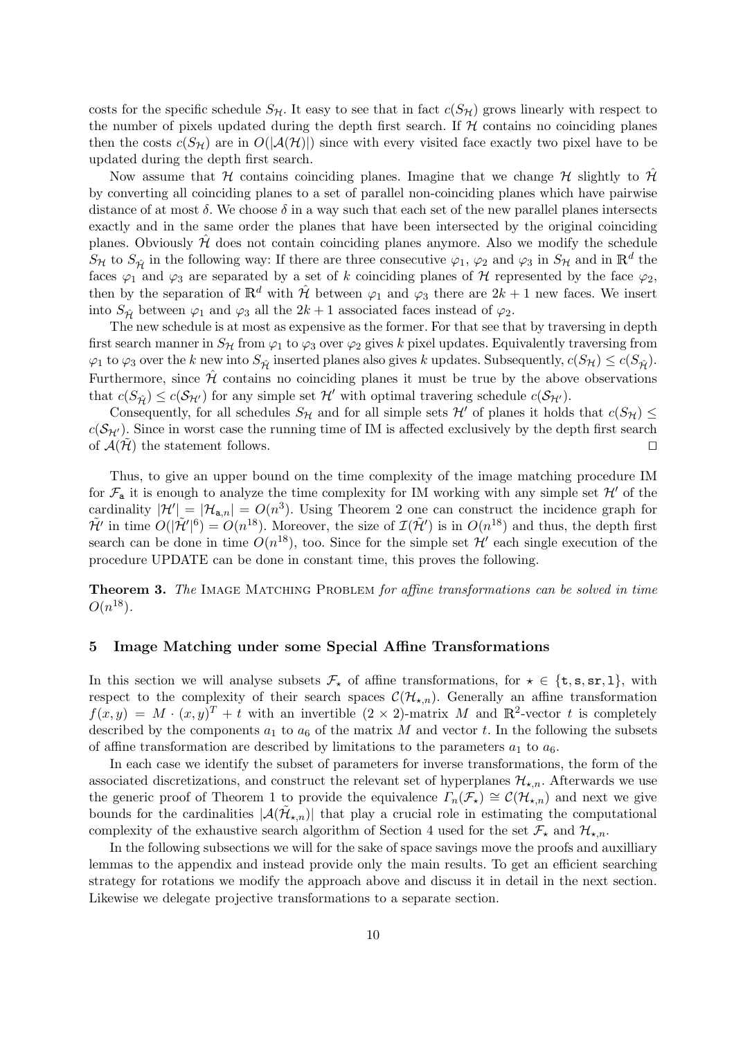costs for the specific schedule  $S_H$ . It easy to see that in fact  $c(S_H)$  grows linearly with respect to the number of pixels updated during the depth first search. If  $H$  contains no coinciding planes then the costs  $c(S_H)$  are in  $O(|\mathcal{A}(\mathcal{H})|)$  since with every visited face exactly two pixel have to be updated during the depth first search.

Now assume that H contains coinciding planes. Imagine that we change H slightly to H by converting all coinciding planes to a set of parallel non-coinciding planes which have pairwise distance of at most  $\delta$ . We choose  $\delta$  in a way such that each set of the new parallel planes intersects exactly and in the same order the planes that have been intersected by the original coinciding planes. Obviously  $\hat{\mathcal{H}}$  does not contain coinciding planes anymore. Also we modify the schedule  $S_H$  to  $S_{\hat{\mathcal{H}}}$  in the following way: If there are three consecutive  $\varphi_1$ ,  $\varphi_2$  and  $\varphi_3$  in  $S_H$  and in  $\mathbb{R}^d$  the faces  $\varphi_1$  and  $\varphi_3$  are separated by a set of k coinciding planes of H represented by the face  $\varphi_2$ , then by the separation of  $\mathbb{R}^d$  with  $\hat{\mathcal{H}}$  between  $\varphi_1$  and  $\varphi_3$  there are  $2k+1$  new faces. We insert into  $S_{\hat{H}}$  between  $\varphi_1$  and  $\varphi_3$  all the  $2k+1$  associated faces instead of  $\varphi_2$ .

The new schedule is at most as expensive as the former. For that see that by traversing in depth first search manner in  $S_H$  from  $\varphi_1$  to  $\varphi_3$  over  $\varphi_2$  gives k pixel updates. Equivalently traversing from  $\varphi_1$  to  $\varphi_3$  over the k new into  $S_{\hat{\mathcal{H}}}$  inserted planes also gives k updates. Subsequently,  $c(S_{\hat{\mathcal{H}}}) \leq c(S_{\hat{\mathcal{H}}})$ . Furthermore, since  $\hat{\mathcal{H}}$  contains no coinciding planes it must be true by the above observations that  $c(S_{\hat{\mathcal{H}}}) \leq c(S_{\mathcal{H}'})$  for any simple set  $\mathcal{H}'$  with optimal travering schedule  $c(S_{\mathcal{H}'})$ .

Consequently, for all schedules  $S_H$  and for all simple sets H' of planes it holds that  $c(S_H) \leq$  $c(\mathcal{S}_{H'})$ . Since in worst case the running time of IM is affected exclusively by the depth first search of  $\mathcal{A}(\tilde{\mathcal{H}})$  the statement follows. of  $\mathcal{A}(\mathcal{H})$  the statement follows.

Thus, to give an upper bound on the time complexity of the image matching procedure IM for  $\mathcal{F}_a$  it is enough to analyze the time complexity for IM working with any simple set  $\mathcal{H}'$  of the cardinality  $|\mathcal{H}'| = |\mathcal{H}_{\mathbf{a},n}| = O(n^3)$ . Using Theorem 2 one can construct the incidence graph for  $\tilde{\mathcal{H}}'$  in time  $O(|\tilde{\mathcal{H}}'|^6) = O(n^{18})$ . Moreover, the size of  $\mathcal{I}(\tilde{\mathcal{H}}')$  is in  $O(n^{18})$  and thus, the depth first search can be done in time  $O(n^{18})$ , too. Since for the simple set  $\mathcal{H}'$  each single execution of the procedure UPDATE can be done in constant time, this proves the following.

**Theorem 3.** The IMAGE MATCHING PROBLEM for affine transformations can be solved in time  $O(n^{18})$ .

## 5 Image Matching under some Special Affine Transformations

In this section we will analyse subsets  $\mathcal{F}_\star$  of affine transformations, for  $\star \in \{\text{t}, \text{s}, \text{s}, \text{r}, \text{t}\},\$ respect to the complexity of their search spaces  $\mathcal{C}(\mathcal{H}_{\star,n})$ . Generally an affine transformation  $f(x,y) = M \cdot (x,y)^T + t$  with an invertible  $(2 \times 2)$ -matrix M and  $\mathbb{R}^2$ -vector t is completely described by the components  $a_1$  to  $a_6$  of the matrix M and vector t. In the following the subsets of affine transformation are described by limitations to the parameters  $a_1$  to  $a_6$ .

In each case we identify the subset of parameters for inverse transformations, the form of the associated discretizations, and construct the relevant set of hyperplanes  $\mathcal{H}_{\star,n}$ . Afterwards we use the generic proof of Theorem 1 to provide the equivalence  $\Gamma_n(\mathcal{F}_\star) \cong \mathcal{C}(\mathcal{H}_{\star,n})$  and next we give bounds for the cardinalities  $|\mathcal{A}(\tilde{\mathcal{H}}_{\star,n})|$  that play a crucial role in estimating the computational complexity of the exhaustive search algorithm of Section 4 used for the set  $\mathcal{F}_{\star}$  and  $\mathcal{H}_{\star,n}$ .

In the following subsections we will for the sake of space savings move the proofs and auxilliary lemmas to the appendix and instead provide only the main results. To get an efficient searching strategy for rotations we modify the approach above and discuss it in detail in the next section. Likewise we delegate projective transformations to a separate section.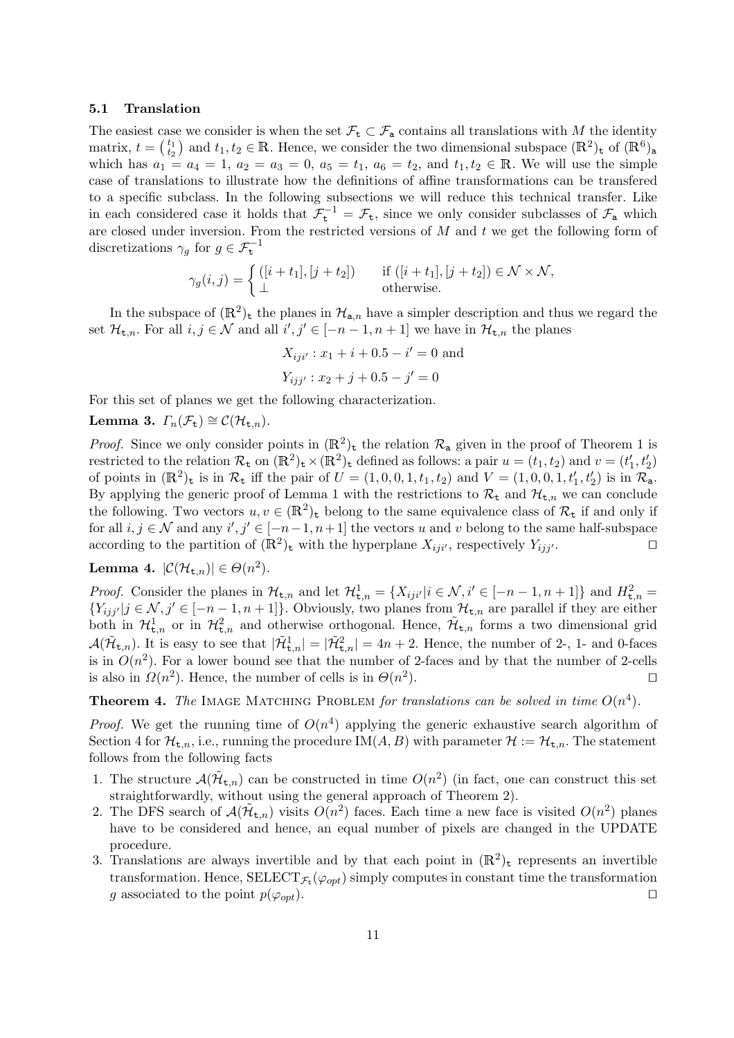#### 5.1 Translation

The easiest case we consider is when the set  $\mathcal{F}_t \subset \mathcal{F}_a$  contains all translations with M the identity matrix,  $t = \begin{pmatrix} t_1 \\ t_2 \end{pmatrix}$  and  $t_1, t_2 \in \mathbb{R}$ . Hence, we consider the two dimensional subspace  $(\mathbb{R}^2)$ <sub>t</sub> of  $(\mathbb{R}^6)$ <sub>a</sub> which has  $a_1 = a_4 = 1, a_2 = a_3 = 0, a_5 = t_1, a_6 = t_2,$  and  $t_1, t_2 \in \mathbb{R}$ . We will use the simple case of translations to illustrate how the definitions of affine transformations can be transfered to a specific subclass. In the following subsections we will reduce this technical transfer. Like in each considered case it holds that  $\mathcal{F}_{t}^{-1} = \mathcal{F}_{t}$ , since we only consider subclasses of  $\mathcal{F}_{a}$  which are closed under inversion. From the restricted versions of  $M$  and  $t$  we get the following form of discretizations  $\gamma_g$  for  $g \in \mathcal{F}_t^{-1}$ 

$$
\gamma_g(i,j) = \begin{cases} ([i+t_1],[j+t_2]) & \text{if } ([i+t_1],[j+t_2]) \in \mathcal{N} \times \mathcal{N}, \\ \perp & \text{otherwise.} \end{cases}
$$

In the subspace of  $(\mathbb{R}^2)$ <sub>t</sub> the planes in  $\mathcal{H}_{a,n}$  have a simpler description and thus we regard the set  $\mathcal{H}_{\mathsf{t},n}$ . For all  $i, j \in \mathcal{N}$  and all  $i', j' \in [-n-1, n+1]$  we have in  $\mathcal{H}_{\mathsf{t},n}$  the planes

$$
X_{iji'} : x_1 + i + 0.5 - i' = 0
$$
 and  

$$
Y_{ijj'} : x_2 + j + 0.5 - j' = 0
$$

For this set of planes we get the following characterization.

**Lemma 3.** 
$$
\Gamma_n(\mathcal{F}_t) \cong \mathcal{C}(\mathcal{H}_{t,n}).
$$

*Proof.* Since we only consider points in  $(\mathbb{R}^2)_t$  the relation  $\mathcal{R}_a$  given in the proof of Theorem 1 is restricted to the relation  $\mathcal{R}_{\mathbf{t}}$  on  $(\mathbb{R}^2)_{\mathbf{t}} \times (\mathbb{R}^2)_{\mathbf{t}}$  defined as follows: a pair  $u = (t_1, t_2)$  and  $v = (t'_1, t'_2)$ of points in  $(\mathbb{R}^2)$ <sub>t</sub> is in  $\mathcal{R}_t$  iff the pair of  $U = (1,0,0,1,t_1,t_2)$  and  $V = (1,0,0,1,t'_1,t'_2)$  is in  $\mathcal{R}_a$ . By applying the generic proof of Lemma 1 with the restrictions to  $\mathcal{R}_{t}$  and  $\mathcal{H}_{t,n}$  we can conclude the following. Two vectors  $u, v \in (\mathbb{R}^2)$  belong to the same equivalence class of  $\mathcal{R}_{t}$  if and only if for all  $i, j \in \mathcal{N}$  and any  $i', j' \in [-n-1, n+1]$  the vectors u and v belong to the same half-subspace according to the partition of  $(\mathbb{R}^2)$ <sub>t</sub> with the hyperplane  $X_{ij}$ <sup>*i*</sup>, respectively  $Y_{ij}$ *j*<sup>*i*</sup>.

**Lemma 4.** 
$$
|\mathcal{C}(\mathcal{H}_{t,n})| \in \Theta(n^2)
$$
.

*Proof.* Consider the planes in  $\mathcal{H}_{\mathsf{t},n}$  and let  $\mathcal{H}_{\mathsf{t},n}^1 = \{X_{iji'} | i \in \mathcal{N}, i' \in [-n-1,n+1]\}$  and  $H_{\mathsf{t},n}^2 =$  ${Y_{ijj'}}|j \in \mathcal{N}, j' \in [-n-1, n+1]$ . Obviously, two planes from  $\mathcal{H}_{t,n}$  are parallel if they are either both in  $\mathcal{H}^1_{\mathsf{t},n}$  or in  $\mathcal{H}^2_{\mathsf{t},n}$  and otherwise orthogonal. Hence,  $\tilde{\mathcal{H}}_{\mathsf{t},n}$  forms a two dimensional grid  $\mathcal{A}(\tilde{\mathcal{H}}_{t,n})$ . It is easy to see that  $|\tilde{\mathcal{H}}_{t,n}^1| = |\tilde{\mathcal{H}}_{t,n}^2| = 4n + 2$ . Hence, the number of 2-, 1- and 0-faces is in  $O(n^2)$ . For a lower bound see that the number of 2-faces and by that the number of 2-cells is also in  $\Omega(n^2)$ . Hence, the number of cells is in  $\Theta(n^2)$ ).  $\Box$ 

**Theorem 4.** The IMAGE MATCHING PROBLEM for translations can be solved in time  $O(n^4)$ .

*Proof.* We get the running time of  $O(n^4)$  applying the generic exhaustive search algorithm of Section 4 for  $\mathcal{H}_{t,n}$ , i.e., running the procedure IM $(A, B)$  with parameter  $\mathcal{H} := \mathcal{H}_{t,n}$ . The statement follows from the following facts

- 1. The structure  $\mathcal{A}(\tilde{\mathcal{H}}_{t,n})$  can be constructed in time  $O(n^2)$  (in fact, one can construct this set straightforwardly, without using the general approach of Theorem 2).
- 2. The DFS search of  $\mathcal{A}(\tilde{\mathcal{H}}_{t,n})$  visits  $O(n^2)$  faces. Each time a new face is visited  $O(n^2)$  planes have to be considered and hence, an equal number of pixels are changed in the UPDATE procedure.
- 3. Translations are always invertible and by that each point in  $(\mathbb{R}^2)$ <sub>t</sub> represents an invertible transformation. Hence,  $\text{SELECT}_{\mathcal{F}_t}(\varphi_{opt})$  simply computes in constant time the transformation g associated to the point  $p(\varphi_{opt})$ .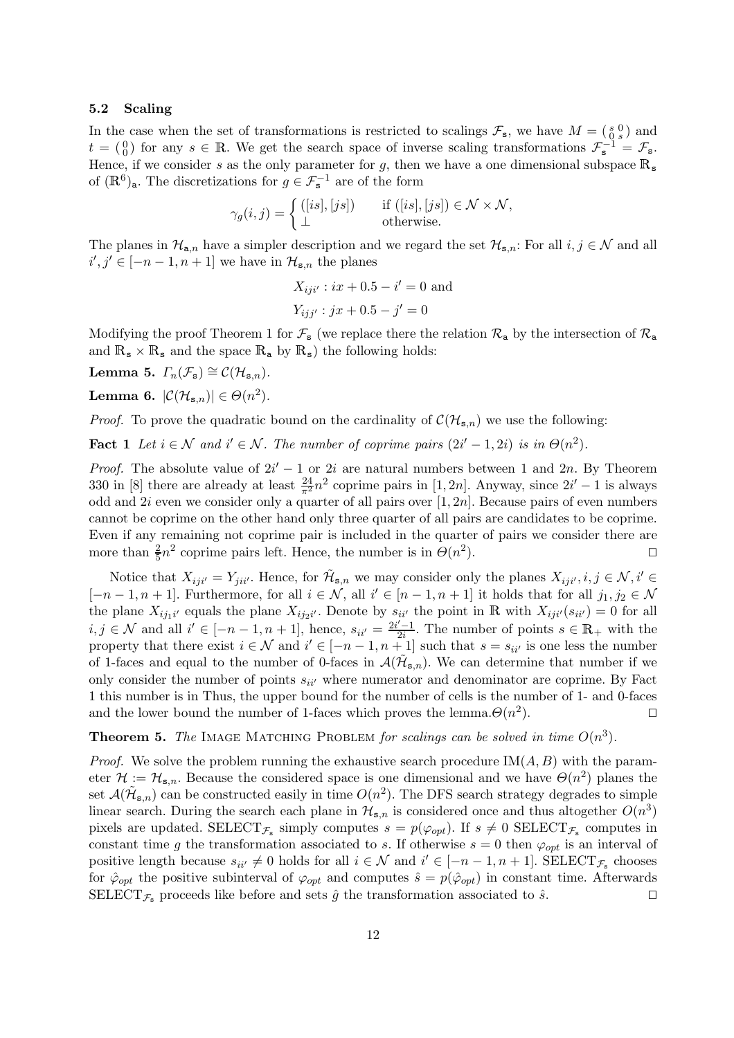#### 5.2 Scaling

In the case when the set of transformations is restricted to scalings  $\mathcal{F}_{s}$ , we have  $M = \begin{pmatrix} s & 0 \\ 0 & s \end{pmatrix}$  and  $t = \begin{pmatrix} 0 \\ 0 \end{pmatrix}$  for any  $s \in \mathbb{R}$ . We get the search space of inverse scaling transformations  $\mathcal{F}_{s}^{-1} = \mathcal{F}_{s}$ . Hence, if we consider s as the only parameter for g, then we have a one dimensional subspace  $\mathbb{R}_{\text{s}}$ of  $(\mathbb{R}^6)_{\mathsf{a}}$ . The discretizations for  $g \in \mathcal{F}_\mathsf{s}^{-1}$  are of the form

$$
\gamma_g(i,j) = \begin{cases} ([is], [js]) & \text{if } ([is], [js]) \in \mathcal{N} \times \mathcal{N}, \\ \perp & \text{otherwise.} \end{cases}
$$

The planes in  $\mathcal{H}_{a,n}$  have a simpler description and we regard the set  $\mathcal{H}_{s,n}$ : For all  $i, j \in \mathcal{N}$  and all  $i', j' \in [-n-1, n+1]$  we have in  $\mathcal{H}_{\mathbf{s},n}$  the planes

$$
X_{iji'} : ix + 0.5 - i' = 0
$$
 and  

$$
Y_{ijj'} : jx + 0.5 - j' = 0
$$

Modifying the proof Theorem 1 for  $\mathcal{F}_{s}$  (we replace there the relation  $\mathcal{R}_{a}$  by the intersection of  $\mathcal{R}_{a}$ and  $\mathbb{R}_s \times \mathbb{R}_s$  and the space  $\mathbb{R}_a$  by  $\mathbb{R}_s$ ) the following holds:

Lemma 5.  $\Gamma_n(\mathcal{F}_s) \cong \mathcal{C}(\mathcal{H}_{s,n}).$ 

**Lemma 6.**  $|\mathcal{C}(\mathcal{H}_{s,n})| \in \Theta(n^2)$ .

*Proof.* To prove the quadratic bound on the cardinality of  $\mathcal{C}(\mathcal{H}_{s,n})$  we use the following:

**Fact 1** Let  $i \in \mathcal{N}$  and  $i' \in \mathcal{N}$ . The number of coprime pairs  $(2i' - 1, 2i)$  is in  $\Theta(n^2)$ .

*Proof.* The absolute value of  $2i' - 1$  or  $2i$  are natural numbers between 1 and 2n. By Theorem 330 in [8] there are already at least  $\frac{24}{\pi^2}n^2$  coprime pairs in [1, 2n]. Anyway, since  $2i'-1$  is always odd and  $2i$  even we consider only a quarter of all pairs over  $[1, 2n]$ . Because pairs of even numbers cannot be coprime on the other hand only three quarter of all pairs are candidates to be coprime. Even if any remaining not coprime pair is included in the quarter of pairs we consider there are more than  $\frac{2}{5}n^2$  coprime pairs left. Hence, the number is in  $\Theta(n^2)$  $\Box$ ).

Notice that  $X_{iji'} = Y_{jii'}$ . Hence, for  $\tilde{\mathcal{H}}_{s,n}$  we may consider only the planes  $X_{iji'}, i, j \in \mathcal{N}, i' \in \mathcal{N}$  $[-n-1,n+1]$ . Furthermore, for all  $i \in \mathcal{N}$ , all  $i' \in [n-1,n+1]$  it holds that for all  $j_1, j_2 \in \mathcal{N}$ the plane  $X_{ij_1i'}$  equals the plane  $X_{ij_2i'}$ . Denote by  $s_{ii'}$  the point in R with  $X_{iji'}(s_{ii'})=0$  for all *i*, *j* ∈ N and all *i*<sup> $i$ </sup> ∈ [-n - 1, n + 1], hence,  $s_{ii'} = \frac{2i'-1}{2i}$  $\frac{c-1}{2i}$ . The number of points  $s \in \mathbb{R}_+$  with the property that there exist  $i \in \mathcal{N}$  and  $i' \in [-n-1, n+1]$  such that  $s = s_{ii'}$  is one less the number of 1-faces and equal to the number of 0-faces in  $\mathcal{A}(\tilde{\mathcal{H}}_{s,n})$ . We can determine that number if we only consider the number of points  $s_{ii'}$  where numerator and denominator are coprime. By Fact 1 this number is in Thus, the upper bound for the number of cells is the number of 1- and 0-faces and the lower bound the number of 1-faces which proves the lemma. $\Theta(n^2)$ ).  $\qquad \qquad \Box$ 

**Theorem 5.** The IMAGE MATCHING PROBLEM for scalings can be solved in time  $O(n^3)$ .

*Proof.* We solve the problem running the exhaustive search procedure  $IM(A, B)$  with the parameter  $\mathcal{H} := \mathcal{H}_{s,n}$ . Because the considered space is one dimensional and we have  $\Theta(n^2)$  planes the set  $\mathcal{A}(\tilde{\mathcal{H}}_{s,n})$  can be constructed easily in time  $O(n^2)$ . The DFS search strategy degrades to simple linear search. During the search each plane in  $\mathcal{H}_{s,n}$  is considered once and thus altogether  $O(n^3)$ pixels are updated. SELECT<sub>F<sub>s</sub></sub> simply computes  $s = p(\varphi_{opt})$ . If  $s \neq 0$  SELECT<sub>F<sub>s</sub></sub> computes in constant time g the transformation associated to s. If otherwise  $s = 0$  then  $\varphi_{opt}$  is an interval of positive length because  $s_{ii'} \neq 0$  holds for all  $i \in \mathcal{N}$  and  $i' \in [-n-1, n+1]$ . SELECT<sub>F<sub>s</sub></sub> chooses for  $\hat{\varphi}_{opt}$  the positive subinterval of  $\varphi_{opt}$  and computes  $\hat{s} = p(\hat{\varphi}_{opt})$  in constant time. Afterwards SELECT<sub> $\mathcal{F}_s$ </sub> proceeds like before and sets  $\hat{g}$  the transformation associated to  $\hat{s}$ .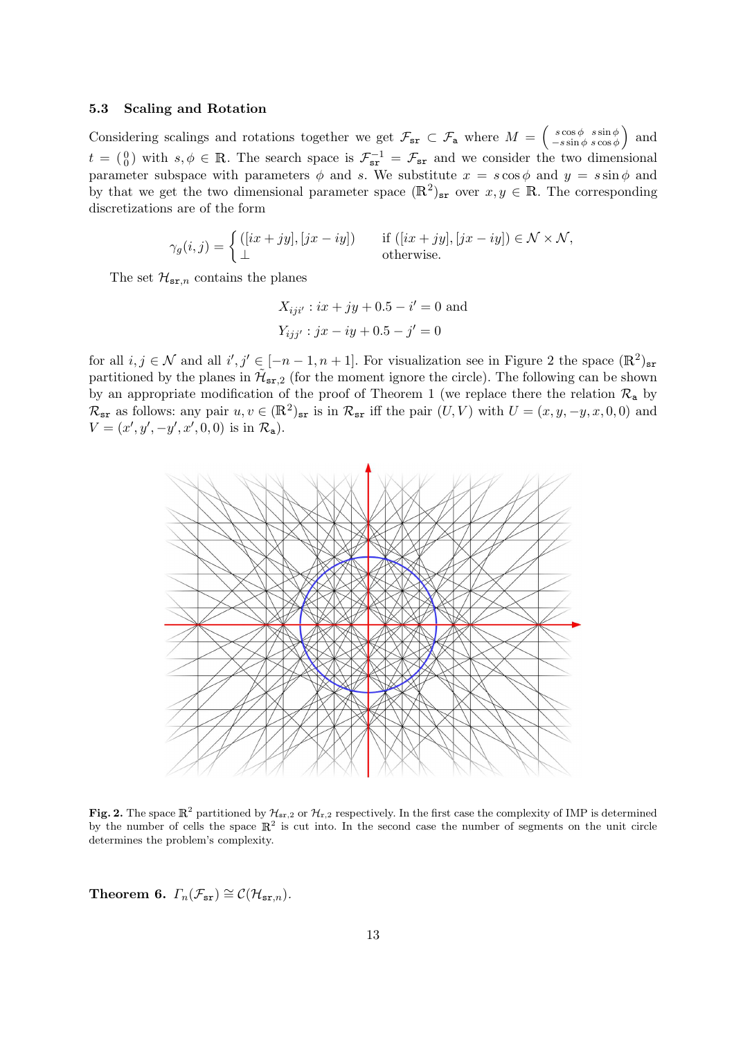#### 5.3 Scaling and Rotation

Considering scalings and rotations together we get  $\mathcal{F}_{sr} \subset \mathcal{F}_{a}$  where  $M = \begin{pmatrix} s \cos \phi & s \sin \phi \\ -s \sin \phi & s \cos \phi \end{pmatrix}$  $\begin{array}{c}\ns\cos\phi \quad s\sin\phi \\
-s\sin\phi \quad s\cos\phi\n\end{array}$  and  $t = \begin{pmatrix} 0 \\ 0 \end{pmatrix}$  with  $s, \phi \in \mathbb{R}$ . The search space is  $\mathcal{F}_{sr}^{-1} = \mathcal{F}_{sr}$  and we consider the two dimensional parameter subspace with parameters  $\phi$  and s. We substitute  $x = s \cos \phi$  and  $y = s \sin \phi$  and by that we get the two dimensional parameter space  $(\mathbb{R}^2)_{sr}$  over  $x, y \in \mathbb{R}$ . The corresponding discretizations are of the form

$$
\gamma_g(i,j) = \begin{cases} ([ix+ jy], [jx- iy]) & \text{if } ([ix+ jy], [jx- iy]) \in \mathcal{N} \times \mathcal{N}, \\ \perp & \text{otherwise.} \end{cases}
$$

The set  $\mathcal{H}_{sr,n}$  contains the planes

 $X_{iji'} : ix + jy + 0.5 - i' = 0$  and  $Y_{ijj'}$ :  $jx - iy + 0.5 - j' = 0$ 

for all  $i, j \in \mathcal{N}$  and all  $i', j' \in [-n-1, n+1]$ . For visualization see in Figure 2 the space  $(\mathbb{R}^2)_{\text{sr}}$ partitioned by the planes in  $\tilde{\mathcal{H}}_{sr,2}$  (for the moment ignore the circle). The following can be shown by an appropriate modification of the proof of Theorem 1 (we replace there the relation  $\mathcal{R}_{a}$  by  $\mathcal{R}_{sr}$  as follows: any pair  $u, v \in (\mathbb{R}^2)_{sr}$  is in  $\mathcal{R}_{sr}$  iff the pair  $(U, V)$  with  $U = (x, y, -y, x, 0, 0)$  and  $V = (x', y', -y', x', 0, 0)$  is in  $\mathcal{R}_{a}$ ).



Fig. 2. The space  $\mathbb{R}^2$  partitioned by  $\mathcal{H}_{sr,2}$  or  $\mathcal{H}_{r,2}$  respectively. In the first case the complexity of IMP is determined by the number of cells the space  $\mathbb{R}^2$  is cut into. In the second case the number of segments on the unit circle determines the problem's complexity.

Theorem 6.  $\Gamma_n(\mathcal{F}_{sr}) \cong \mathcal{C}(\mathcal{H}_{sr,n}).$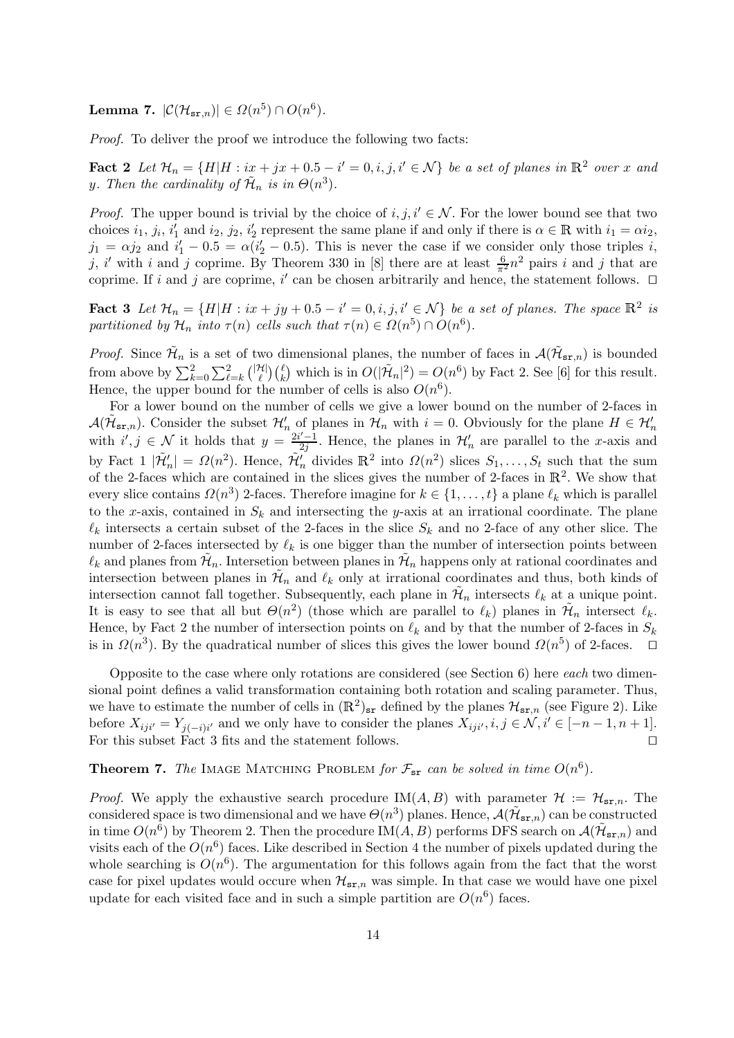Lemma 7.  $|\mathcal{C}(\mathcal{H}_{\mathbf{sr},n})| \in \Omega(n^5) \cap O(n^6)$ .

Proof. To deliver the proof we introduce the following two facts:

**Fact 2** Let  $\mathcal{H}_n = \{H|H: i\underline{x} + jx + 0.5 - i' = 0, i, j, i' \in \mathcal{N}\}$  be a set of planes in  $\mathbb{R}^2$  over x and y. Then the cardinality of  $\tilde{\mathcal{H}}_n$  is in  $\Theta(n^3)$ .

*Proof.* The upper bound is trivial by the choice of i, j,  $i' \in \mathcal{N}$ . For the lower bound see that two choices  $i_1, j_i, i'_1$  and  $i_2, j_2, i'_2$  represent the same plane if and only if there is  $\alpha \in \mathbb{R}$  with  $i_1 = \alpha i_2$ ,  $j_1 = \alpha j_2$  and  $i'_1 - 0.5 = \alpha (i'_2 - 0.5)$ . This is never the case if we consider only those triples i, j, i' with i and j coprime. By Theorem 330 in [8] there are at least  $\frac{6}{\pi^2}n^2$  pairs i and j that are coprime. If i and j are coprime, i' can be chosen arbitrarily and hence, the statement follows.  $\Box$ 

**Fact 3** Let  $\mathcal{H}_n = \{H|H : ix + jy + 0.5 - i' = 0, i, j, i' \in \mathcal{N}\}$  be a set of planes. The space  $\mathbb{R}^2$  is partitioned by  $\mathcal{H}_n$  into  $\tau(n)$  cells such that  $\tau(n) \in \Omega(n^5) \cap O(n^6)$ .

*Proof.* Since  $\tilde{\mathcal{H}}_n$  is a set of two dimensional planes, the number of faces in  $\mathcal{A}(\tilde{\mathcal{H}}_{sr,n})$  is bounded from above by  $\sum_{k=0}^{2} \sum_{\ell=k}^{2} {|\mathcal{H}| \choose \ell}$  $\mathcal{H}^{(1)}(k)$  which is in  $O(|\tilde{\mathcal{H}}_n|^2) = O(n^6)$  by Fact 2. See [6] for this result. Hence, the upper bound for the number of cells is also  $O(n^6)$ .

For a lower bound on the number of cells we give a lower bound on the number of 2-faces in  $\mathcal{A}(\tilde{\mathcal{H}}_{s,r,n})$ . Consider the subset  $\mathcal{H}'_n$  of planes in  $\mathcal{H}_n$  with  $i=0$ . Obviously for the plane  $H \in \mathcal{H}'_n$ with  $i', j \in \mathcal{N}$  it holds that  $y = \frac{i^2 i' - 1}{2i}$  $\frac{\gamma-1}{2j}$ . Hence, the planes in  $\mathcal{H}'_n$  are parallel to the x-axis and by Fact  $1 \vert \tilde{\mathcal{H}}'_n \vert = \Omega(n^2)$ . Hence,  $\tilde{\mathcal{H}}'_n$  divides  $\mathbb{R}^2$  into  $\Omega(n^2)$  slices  $S_1, \ldots, S_t$  such that the sum of the 2-faces which are contained in the slices gives the number of 2-faces in  $\mathbb{R}^2$ . We show that every slice contains  $\Omega(n^3)$  2-faces. Therefore imagine for  $k \in \{1, \ldots, t\}$  a plane  $\ell_k$  which is parallel to the x-axis, contained in  $S_k$  and intersecting the y-axis at an irrational coordinate. The plane  $\ell_k$  intersects a certain subset of the 2-faces in the slice  $S_k$  and no 2-face of any other slice. The number of 2-faces intersected by  $\ell_k$  is one bigger than the number of intersection points between  $\ell_k$  and planes from  $\mathcal{H}_n$ . Intersetion between planes in  $\mathcal{H}_n$  happens only at rational coordinates and intersection between planes in  $\tilde{\mathcal{H}}_n$  and  $\ell_k$  only at irrational coordinates and thus, both kinds of intersection cannot fall together. Subsequently, each plane in  $\tilde{\mathcal{H}}_n$  intersects  $\ell_k$  at a unique point. It is easy to see that all but  $\Theta(n^2)$  (those which are parallel to  $\ell_k$ ) planes in  $\tilde{\mathcal{H}}_n$  intersect  $\ell_k$ . Hence, by Fact 2 the number of intersection points on  $\ell_k$  and by that the number of 2-faces in  $S_k$ is in  $\Omega(n^3)$ . By the quadratical number of slices this gives the lower bound  $\Omega(n^5)$  of 2-faces.  $\Box$ 

Opposite to the case where only rotations are considered (see Section 6) here each two dimensional point defines a valid transformation containing both rotation and scaling parameter. Thus, we have to estimate the number of cells in  $(\mathbb{R}^2)_{sr}$  defined by the planes  $\mathcal{H}_{sr,n}$  (see Figure 2). Like before  $X_{ij}i' = Y_{j(-i)i'}$  and we only have to consider the planes  $X_{ij}i', i, j \in \mathcal{N}, i' \in [-n-1, n+1]$ . For this subset Fact 3 fits and the statement follows.  $\Box$ 

# **Theorem 7.** The IMAGE MATCHING PROBLEM for  $\mathcal{F}_{sr}$  can be solved in time  $O(n^6)$ .

*Proof.* We apply the exhaustive search procedure IM(A, B) with parameter  $\mathcal{H} := \mathcal{H}_{sr,n}$ . The considered space is two dimensional and we have  $\Theta(n^3)$  planes. Hence,  $\mathcal{A}(\tilde{\mathcal{H}}_{sr,n})$  can be constructed in time  $O(n^6)$  by Theorem 2. Then the procedure IM $(A, B)$  performs DFS search on  $\mathcal{A}(\tilde{\mathcal{H}}_{s,r,n})$  and visits each of the  $O(n^6)$  faces. Like described in Section 4 the number of pixels updated during the whole searching is  $O(n^6)$ . The argumentation for this follows again from the fact that the worst case for pixel updates would occure when  $\mathcal{H}_{sr,n}$  was simple. In that case we would have one pixel update for each visited face and in such a simple partition are  $O(n^6)$  faces.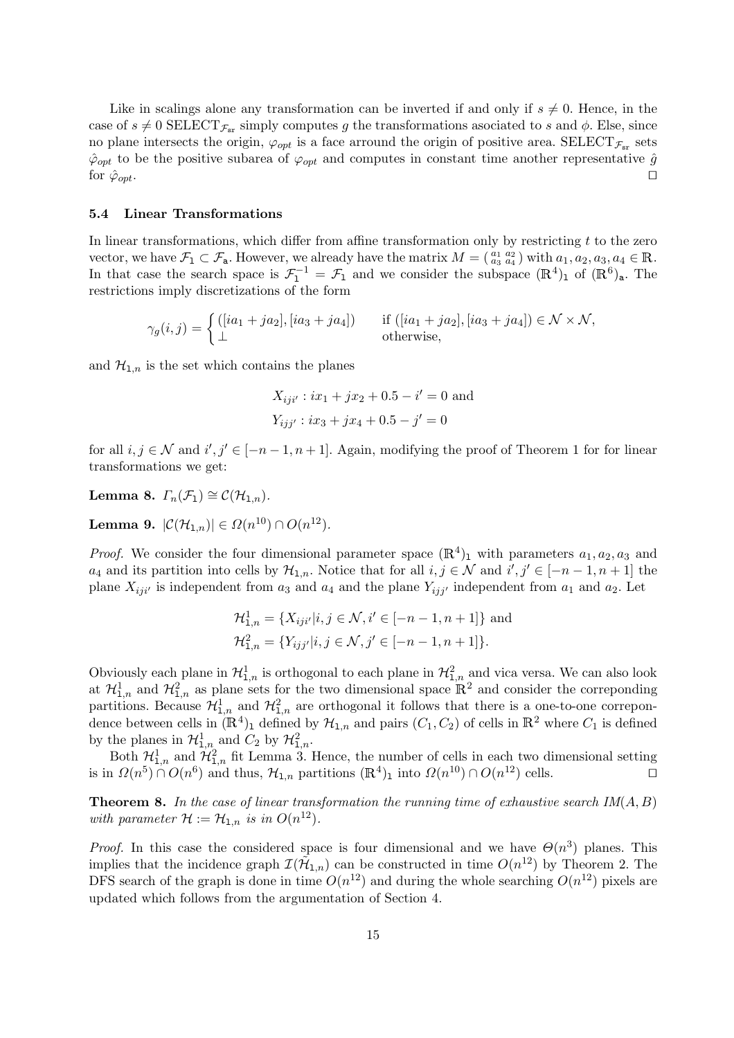Like in scalings alone any transformation can be inverted if and only if  $s \neq 0$ . Hence, in the case of  $s \neq 0$  SELECT<sub> $\mathcal{F}_{sr}$ </sub> simply computes g the transformations asociated to s and  $\phi$ . Else, since no plane intersects the origin,  $\varphi_{opt}$  is a face arround the origin of positive area. SELECT<sub> $\mathcal{F}_{sr}$ </sub> sets  $\hat{\varphi}_{opt}$  to be the positive subarea of  $\varphi_{opt}$  and computes in constant time another representative  $\hat{g}$ for  $\hat{\varphi}_{opt}$ .

#### 5.4 Linear Transformations

In linear transformations, which differ from affine transformation only by restricting  $t$  to the zero vector, we have  $\mathcal{F}_1 \subset \mathcal{F}_a$ . However, we already have the matrix  $M = \begin{pmatrix} a_1 & a_2 \\ a_3 & a_4 \end{pmatrix}$  with  $a_1, a_2, a_3, a_4 \in \mathbb{R}$ . In that case the search space is  $\mathcal{F}_1^{-1} = \mathcal{F}_1$  and we consider the subspace  $(\mathbb{R}^4)$  of  $(\mathbb{R}^6)$ <sub>a</sub>. The restrictions imply discretizations of the form

$$
\gamma_g(i,j) = \begin{cases}\n([ia_1 + ja_2], [ia_3 + ja_4]) & \text{if } ([ia_1 + ja_2], [ia_3 + ja_4]) \in \mathcal{N} \times \mathcal{N}, \\
\perp & \text{otherwise,} \n\end{cases}
$$

and  $\mathcal{H}_{1,n}$  is the set which contains the planes

$$
X_{iji'} : ix_1 + jx_2 + 0.5 - i' = 0
$$
 and  

$$
Y_{ijj'} : ix_3 + jx_4 + 0.5 - j' = 0
$$

for all  $i, j \in \mathcal{N}$  and  $i', j' \in [-n-1, n+1]$ . Again, modifying the proof of Theorem 1 for for linear transformations we get:

Lemma 8.  $\Gamma_n(\mathcal{F}_1) \cong \mathcal{C}(\mathcal{H}_{1,n}).$ 

Lemma 9.  $|\mathcal{C}(\mathcal{H}_{1,n})| \in \Omega(n^{10}) \cap O(n^{12}).$ 

*Proof.* We consider the four dimensional parameter space  $(\mathbb{R}^4)$ <sub>1</sub> with parameters  $a_1, a_2, a_3$  and  $a_4$  and its partition into cells by  $\mathcal{H}_{1,n}$ . Notice that for all  $i, j \in \mathcal{N}$  and  $i', j' \in [-n-1, n+1]$  the plane  $X_{ij}i'$  is independent from  $a_3$  and  $a_4$  and the plane  $Y_{ij}i'$  independent from  $a_1$  and  $a_2$ . Let

$$
\mathcal{H}_{1,n}^1 = \{ X_{iji'} | i, j \in \mathcal{N}, i' \in [-n-1, n+1] \}
$$
 and  

$$
\mathcal{H}_{1,n}^2 = \{ Y_{ijj'} | i, j \in \mathcal{N}, j' \in [-n-1, n+1] \}.
$$

Obviously each plane in  $\mathcal{H}_{1,n}^1$  is orthogonal to each plane in  $\mathcal{H}_{1,n}^2$  and vica versa. We can also look at  $\mathcal{H}_{1,n}^1$  and  $\mathcal{H}_{1,n}^2$  as plane sets for the two dimensional space  $\mathbb{R}^2$  and consider the correponding partitions. Because  $\mathcal{H}_{1,n}^1$  and  $\mathcal{H}_{1,n}^2$  are orthogonal it follows that there is a one-to-one correpondence between cells in  $(\mathbb{R}^4)$  defined by  $\mathcal{H}_{1,n}$  and pairs  $(C_1, C_2)$  of cells in  $\mathbb{R}^2$  where  $C_1$  is defined by the planes in  $\mathcal{H}_{1,n}^1$  and  $C_2$  by  $\mathcal{H}_{1,n}^2$ .

Both  $\mathcal{H}_{1,n}^1$  and  $\mathcal{H}_{1,n}^2$  fit Lemma 3. Hence, the number of cells in each two dimensional setting is in  $\Omega(n^5) \cap O(n^6)$  and thus,  $\mathcal{H}_{1,n}$  partitions  $(\mathbb{R}^4)$ <sub>1</sub> into  $\Omega(n^{10}) \cap O(n^6)$  $^{12}$ ) cells.  $\Box$ 

**Theorem 8.** In the case of linear transformation the running time of exhaustive search  $IM(A, B)$ with parameter  $\mathcal{H} := \mathcal{H}_{1,n}$  is in  $O(n^{12})$ .

*Proof.* In this case the considered space is four dimensional and we have  $\Theta(n^3)$  planes. This implies that the incidence graph  $\mathcal{I}(\tilde{\mathcal{H}}_{1,n})$  can be constructed in time  $O(n^{12})$  by Theorem 2. The DFS search of the graph is done in time  $O(n^{12})$  and during the whole searching  $O(n^{12})$  pixels are updated which follows from the argumentation of Section 4.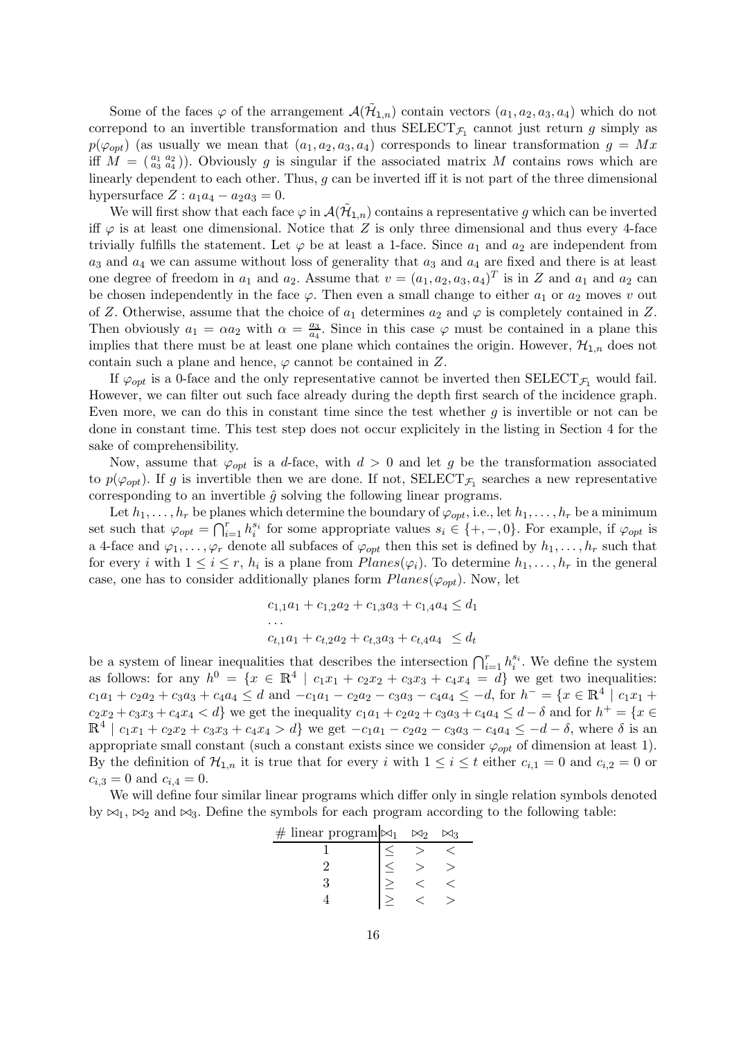Some of the faces  $\varphi$  of the arrangement  $\mathcal{A}(\tilde{\mathcal{H}}_{1,n})$  contain vectors  $(a_1, a_2, a_3, a_4)$  which do not correpond to an invertible transformation and thus  $\text{SELECT}_{\mathcal{F}_1}$  cannot just return g simply as  $p(\varphi_{\text{out}})$  (as usually we mean that  $(a_1, a_2, a_3, a_4)$  corresponds to linear transformation  $g = Mx$ iff  $M = \binom{a_1 \ a_2}{a_3 \ a_4}$ . Obviously g is singular if the associated matrix M contains rows which are linearly dependent to each other. Thus, g can be inverted iff it is not part of the three dimensional hypersurface  $Z: a_1a_4 - a_2a_3 = 0$ .

We will first show that each face  $\varphi$  in  $\mathcal{A}(\tilde{\mathcal{H}}_{1,n})$  contains a representative g which can be inverted iff  $\varphi$  is at least one dimensional. Notice that Z is only three dimensional and thus every 4-face trivially fulfills the statement. Let  $\varphi$  be at least a 1-face. Since  $a_1$  and  $a_2$  are independent from  $a_3$  and  $a_4$  we can assume without loss of generality that  $a_3$  and  $a_4$  are fixed and there is at least one degree of freedom in  $a_1$  and  $a_2$ . Assume that  $v = (a_1, a_2, a_3, a_4)^T$  is in Z and  $a_1$  and  $a_2$  can be chosen independently in the face  $\varphi$ . Then even a small change to either  $a_1$  or  $a_2$  moves v out of Z. Otherwise, assume that the choice of  $a_1$  determines  $a_2$  and  $\varphi$  is completely contained in Z. Then obviously  $a_1 = \alpha a_2$  with  $\alpha = \frac{a_3}{a_4}$  $\frac{a_3}{a_4}$ . Since in this case  $\varphi$  must be contained in a plane this implies that there must be at least one plane which containes the origin. However,  $\mathcal{H}_{1,n}$  does not contain such a plane and hence,  $\varphi$  cannot be contained in Z.

If  $\varphi_{\text{out}}$  is a 0-face and the only representative cannot be inverted then SELECT<sub>F</sub>, would fail. However, we can filter out such face already during the depth first search of the incidence graph. Even more, we can do this in constant time since the test whether  $g$  is invertible or not can be done in constant time. This test step does not occur explicitely in the listing in Section 4 for the sake of comprehensibility.

Now, assume that  $\varphi_{opt}$  is a d-face, with  $d > 0$  and let g be the transformation associated to  $p(\varphi_{opt})$ . If g is invertible then we are done. If not,  $\text{SELECT}_{\mathcal{F}_1}$  searches a new representative corresponding to an invertible  $\hat{g}$  solving the following linear programs.

Let  $h_1, \ldots, h_r$  be planes which determine the boundary of  $\varphi_{opt}$ , i.e., let  $h_1, \ldots, h_r$  be a minimum set such that  $\varphi_{opt} = \bigcap_{i=1}^r h_i^{s_i}$  for some appropriate values  $s_i \in \{+, -, 0\}$ . For example, if  $\varphi_{opt}$  is a 4-face and  $\varphi_1, \ldots, \varphi_r$  denote all subfaces of  $\varphi_{opt}$  then this set is defined by  $h_1, \ldots, h_r$  such that for every *i* with  $1 \leq i \leq r$ ,  $h_i$  is a plane from  $Planes(\varphi_i)$ . To determine  $h_1, \ldots, h_r$  in the general case, one has to consider additionally planes form  $Planes(\varphi_{opt})$ . Now, let

```
c_{1,1}a_1 + c_{1,2}a_2 + c_{1,3}a_3 + c_{1,4}a_4 \leq d_1. . .
c_{t,1}a_1 + c_{t,2}a_2 + c_{t,3}a_3 + c_{t,4}a_4 \leq d_t
```
be a system of linear inequalities that describes the intersection  $\bigcap_{i=1}^r h_i^{s_i}$ . We define the system as follows: for any  $h^0 = \{x \in \mathbb{R}^4 \mid c_1x_1 + c_2x_2 + c_3x_3 + c_4x_4 = d\}$  we get two inequalities:  $c_1a_1 + c_2a_2 + c_3a_3 + c_4a_4 \le d$  and  $-c_1a_1 - c_2a_2 - c_3a_3 - c_4a_4 \le -d$ , for  $h^- = \{x \in \mathbb{R}^4 \mid c_1x_1 + c_2a_2 + c_3a_3 + c_4a_4 \le d_4a_4 \}$  $c_2x_2 + c_3x_3 + c_4x_4 < d$  we get the inequality  $c_1a_1 + c_2a_2 + c_3a_3 + c_4a_4 \leq d - \delta$  and for  $h^+ = \{x \in$  $\mathbb{R}^4 | c_1x_1 + c_2x_2 + c_3x_3 + c_4x_4 > d$  we get  $-c_1a_1 - c_2a_2 - c_3a_3 - c_4a_4 \le -d - \delta$ , where  $\delta$  is an appropriate small constant (such a constant exists since we consider  $\varphi_{opt}$  of dimension at least 1). By the definition of  $\mathcal{H}_{1,n}$  it is true that for every i with  $1 \leq i \leq t$  either  $c_{i,1} = 0$  and  $c_{i,2} = 0$  or  $c_{i,3} = 0$  and  $c_{i,4} = 0$ .

We will define four similar linear programs which differ only in single relation symbols denoted by  $\bowtie_1$ ,  $\bowtie_2$  and  $\bowtie_3$ . Define the symbols for each program according to the following table: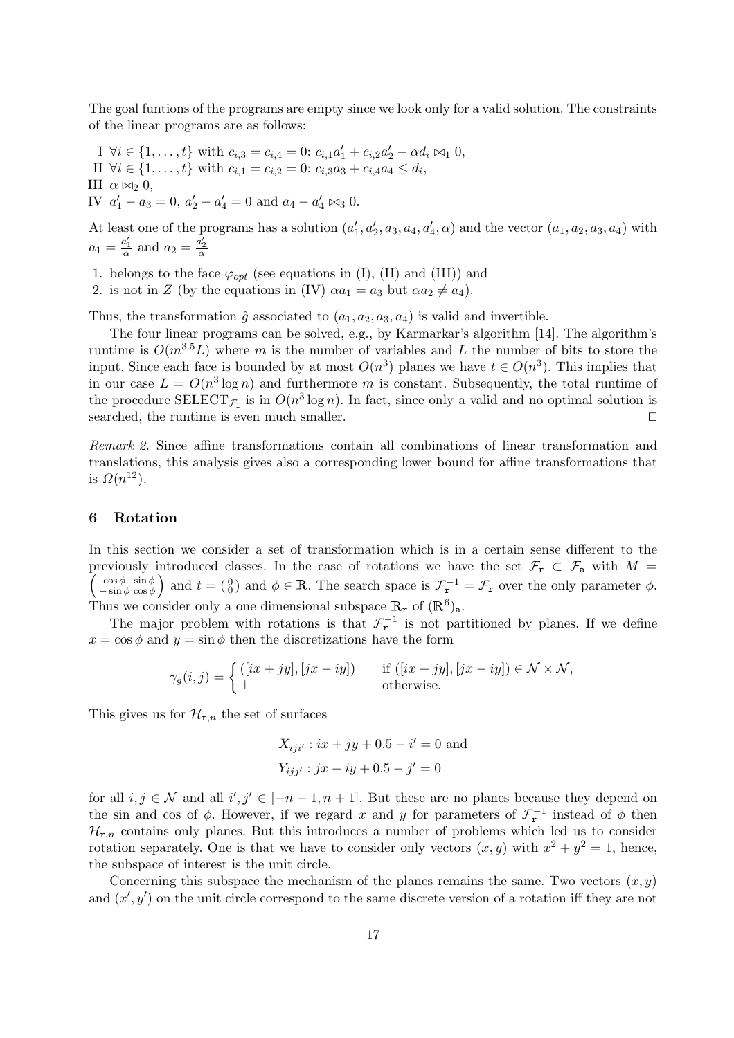The goal funtions of the programs are empty since we look only for a valid solution. The constraints of the linear programs are as follows:

I  $\forall i \in \{1, ..., t\}$  with  $c_{i,3} = c_{i,4} = 0$ :  $c_{i,1}a'_1 + c_{i,2}a'_2 - \alpha d_i \bowtie_1 0$ , II  $\forall i \in \{1, ..., t\}$  with  $c_{i,1} = c_{i,2} = 0$ :  $c_{i,3}a_3 + c_{i,4}a_4 \leq d_i$ , III  $\alpha \bowtie_2 0$ , IV  $a'_1 - a_3 = 0$ ,  $a'_2 - a'_4 = 0$  and  $a_4 - a'_4 \bowtie_3 0$ .

At least one of the programs has a solution  $(a'_1, a'_2, a_3, a_4, a'_4, \alpha)$  and the vector  $(a_1, a_2, a_3, a_4)$  with  $a_1 = \frac{a'_1}{\alpha}$  and  $a_2 = \frac{a'_2}{\alpha}$ 

1. belongs to the face  $\varphi_{opt}$  (see equations in (I), (II) and (III)) and

2. is not in Z (by the equations in (IV)  $\alpha a_1 = a_3$  but  $\alpha a_2 \neq a_4$ ).

Thus, the transformation  $\hat{g}$  associated to  $(a_1, a_2, a_3, a_4)$  is valid and invertible.

The four linear programs can be solved, e.g., by Karmarkar's algorithm [14]. The algorithm's runtime is  $O(m^{3.5}L)$  where m is the number of variables and L the number of bits to store the input. Since each face is bounded by at most  $O(n^3)$  planes we have  $t \in O(n^3)$ . This implies that in our case  $L = O(n^3 \log n)$  and furthermore m is constant. Subsequently, the total runtime of the procedure  $\text{SELECT}_{\mathcal{F}_1}$  is in  $O(n^3 \log n)$ . In fact, since only a valid and no optimal solution is searched, the runtime is even much smaller.  $\Box$ 

Remark 2. Since affine transformations contain all combinations of linear transformation and translations, this analysis gives also a corresponding lower bound for affine transformations that is  $\Omega(n^{12})$ .

## 6 Rotation

In this section we consider a set of transformation which is in a certain sense different to the previously introduced classes. In the case of rotations we have the set  $\mathcal{F}_{\mathbf{r}} \subset \mathcal{F}_{\mathbf{a}}$  with  $M =$  $\int \cos \phi \sin \phi$  $\begin{pmatrix} \cos \phi & \sin \phi \\ -\sin \phi & \cos \phi \end{pmatrix}$  and  $t = \begin{pmatrix} 0 \\ 0 \end{pmatrix}$  and  $\phi \in \mathbb{R}$ . The search space is  $\mathcal{F}_{\mathbf{r}}^{-1} = \mathcal{F}_{\mathbf{r}}$  over the only parameter  $\phi$ . Thus we consider only a one dimensional subspace  $\mathbb{R}_{\mathbf{r}}$  of  $(\mathbb{R}^6)_{\mathsf{a}}$ .

The major problem with rotations is that  $\mathcal{F}_r^{-1}$  is not partitioned by planes. If we define  $x = \cos \phi$  and  $y = \sin \phi$  then the discretizations have the form

$$
\gamma_g(i,j) = \begin{cases} ([ix + jy], [jx - iy]) & \text{if } ([ix + jy], [jx - iy]) \in \mathcal{N} \times \mathcal{N}, \\ \perp & \text{otherwise.} \end{cases}
$$

This gives us for  $\mathcal{H}_{\mathbf{r},n}$  the set of surfaces

$$
X_{iji'} : ix + jy + 0.5 - i' = 0
$$
 and  

$$
Y_{ijj'} : jx - iy + 0.5 - j' = 0
$$

for all  $i, j \in \mathcal{N}$  and all  $i', j' \in [-n-1, n+1]$ . But these are no planes because they depend on the sin and cos of  $\phi$ . However, if we regard x and y for parameters of  $\mathcal{F}_{r}^{-1}$  instead of  $\phi$  then  $\mathcal{H}_{\mathbf{r},n}$  contains only planes. But this introduces a number of problems which led us to consider rotation separately. One is that we have to consider only vectors  $(x, y)$  with  $x^2 + y^2 = 1$ , hence, the subspace of interest is the unit circle.

Concerning this subspace the mechanism of the planes remains the same. Two vectors  $(x, y)$ and  $(x', y')$  on the unit circle correspond to the same discrete version of a rotation iff they are not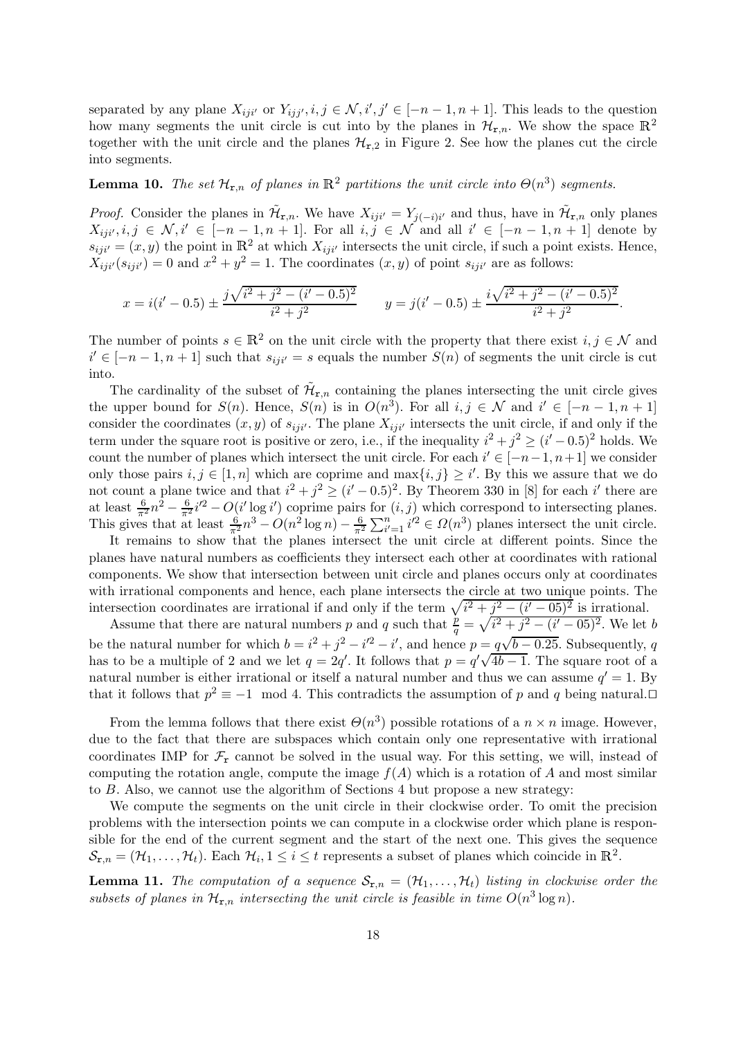separated by any plane  $X_{ijji'}$  or  $Y_{ijj'}, i, j \in \mathcal{N}, i', j' \in [-n-1, n+1]$ . This leads to the question how many segments the unit circle is cut into by the planes in  $\mathcal{H}_{r,n}$ . We show the space  $\mathbb{R}^2$ together with the unit circle and the planes  $\mathcal{H}_{r,2}$  in Figure 2. See how the planes cut the circle into segments.

## **Lemma 10.** The set  $\mathcal{H}_{\mathbf{r},n}$  of planes in  $\mathbb{R}^2$  partitions the unit circle into  $\Theta(n^3)$  segments.

*Proof.* Consider the planes in  $\tilde{\mathcal{H}}_{r,n}$ . We have  $X_{ij} = Y_{j(-i)i'}$  and thus, have in  $\tilde{\mathcal{H}}_{r,n}$  only planes  $X_{iji',i,j} \in \mathcal{N}, i' \in [-n-1,n+1]$ . For all  $i, j \in \mathcal{N}$  and all  $i' \in [-n-1,n+1]$  denote by  $s_{ij} = (x, y)$  the point in  $\mathbb{R}^2$  at which  $X_{ij}$  intersects the unit circle, if such a point exists. Hence,  $X_{iji'}(s_{iji'}) = 0$  and  $x^2 + y^2 = 1$ . The coordinates  $(x, y)$  of point  $s_{iji'}$  are as follows:

$$
x = i(i'-0.5) \pm \frac{j\sqrt{i^2 + j^2 - (i'-0.5)^2}}{i^2 + j^2} \qquad y = j(i'-0.5) \pm \frac{i\sqrt{i^2 + j^2 - (i'-0.5)^2}}{i^2 + j^2}.
$$

The number of points  $s \in \mathbb{R}^2$  on the unit circle with the property that there exist  $i, j \in \mathcal{N}$  and  $i' \in [-n-1, n+1]$  such that  $s_{ij}i' = s$  equals the number  $S(n)$  of segments the unit circle is cut into.

The cardinality of the subset of  $\tilde{\mathcal{H}}_{r,n}$  containing the planes intersecting the unit circle gives the upper bound for  $S(n)$ . Hence,  $S(n)$  is in  $O(n^3)$ . For all  $i, j \in \mathcal{N}$  and  $i' \in [-n-1, n+1]$ consider the coordinates  $(x, y)$  of  $s_{iji'}$ . The plane  $X_{iji'}$  intersects the unit circle, if and only if the term under the square root is positive or zero, i.e., if the inequality  $i^2 + j^2 \geq (i' - 0.5)^2$  holds. We count the number of planes which intersect the unit circle. For each  $i' \in [-n-1, n+1]$  we consider only those pairs  $i, j \in [1, n]$  which are coprime and  $\max\{i, j\} \geq i'$ . By this we assure that we do not count a plane twice and that  $i^2 + j^2 \geq (i'-0.5)^2$ . By Theorem 330 in [8] for each i' there are at least  $\frac{6}{\pi^2}n^2 - \frac{6}{\pi^2}i'^2 - O(i'\log i')$  coprime pairs for  $(i, j)$  which correspond to intersecting planes. This gives that at least  $\frac{6}{\pi^2} n^3 - O(n^2 \log n) - \frac{6}{\pi^2} \sum_{i'=1}^n i'^2 \in \Omega(n^3)$  planes intersect the unit circle.

It remains to show that the planes intersect the unit circle at different points. Since the planes have natural numbers as coefficients they intersect each other at coordinates with rational components. We show that intersection between unit circle and planes occurs only at coordinates with irrational components and hence, each plane intersects the circle at two unique points. The intersection coordinates are irrational if and only if the term  $\sqrt{i^2 + j^2 - (i' - 05)^2}$  is irrational.

Assume that there are natural numbers p and q such that  $\frac{p}{q} = \sqrt{i^2 + j^2 - (i'-0.5)^2}$ . We let b be the natural number for which  $b = i^2 + j^2 - i'^2 - i'$ , and hence  $p = q\sqrt{b - 0.25}$ . Subsequently, q has to be a multiple of 2 and we let  $q = 2q'$ . It follows that  $p = q' \sqrt{4b-1}$ . The square root of a natural number is either irrational or itself a natural number and thus we can assume  $q' = 1$ . By that it follows that  $p^2 \equiv -1 \mod 4$ . This contradicts the assumption of p and q being natural.

From the lemma follows that there exist  $\Theta(n^3)$  possible rotations of a  $n \times n$  image. However, due to the fact that there are subspaces which contain only one representative with irrational coordinates IMP for  $\mathcal{F}_r$  cannot be solved in the usual way. For this setting, we will, instead of computing the rotation angle, compute the image  $f(A)$  which is a rotation of A and most similar to B. Also, we cannot use the algorithm of Sections 4 but propose a new strategy:

We compute the segments on the unit circle in their clockwise order. To omit the precision problems with the intersection points we can compute in a clockwise order which plane is responsible for the end of the current segment and the start of the next one. This gives the sequence  $\mathcal{S}_{\mathbf{r},n} = (\mathcal{H}_1, \ldots, \mathcal{H}_t)$ . Each  $\mathcal{H}_i, 1 \leq i \leq t$  represents a subset of planes which coincide in  $\mathbb{R}^2$ .

**Lemma 11.** The computation of a sequence  $S_{r,n} = (\mathcal{H}_1, \ldots, \mathcal{H}_t)$  listing in clockwise order the subsets of planes in  $\mathcal{H}_{\mathbf{r},n}$  intersecting the unit circle is feasible in time  $O(n^3 \log n)$ .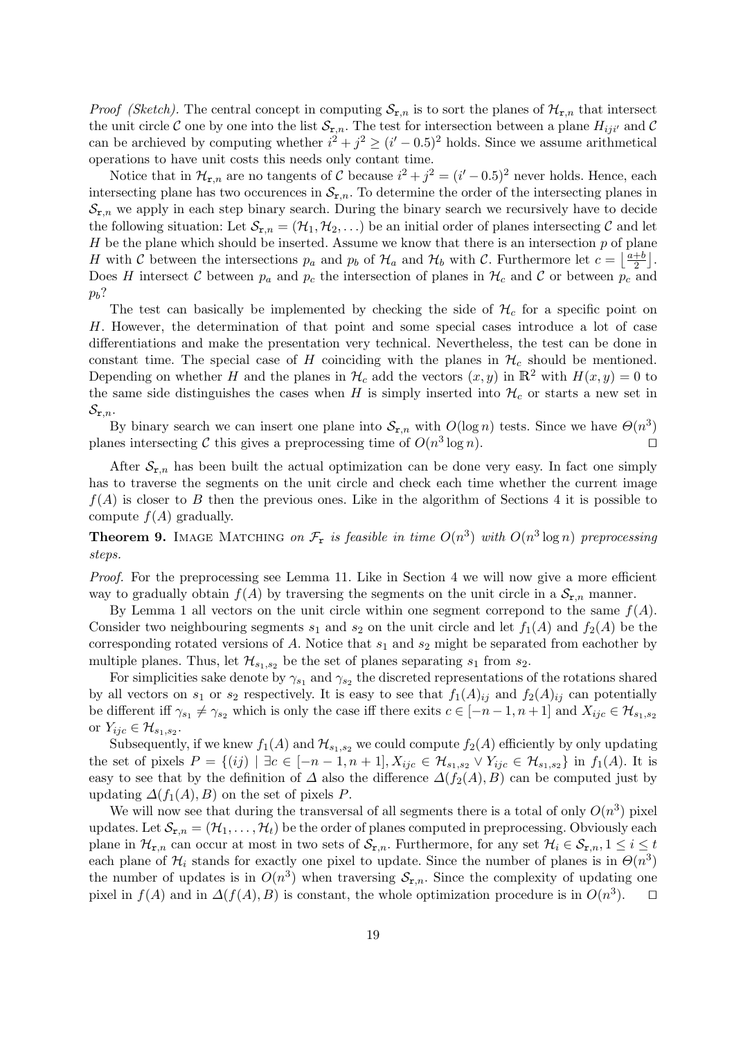*Proof (Sketch)*. The central concept in computing  $S_{r,n}$  is to sort the planes of  $\mathcal{H}_{r,n}$  that intersect the unit circle C one by one into the list  $\mathcal{S}_{r,n}$ . The test for intersection between a plane  $H_{ijij}$  and C can be archieved by computing whether  $i^2 + j^2 \ge (i' - 0.5)^2$  holds. Since we assume arithmetical operations to have unit costs this needs only contant time.

Notice that in  $\mathcal{H}_{\mathbf{r},n}$  are no tangents of C because  $i^2 + j^2 = (i'-0.5)^2$  never holds. Hence, each intersecting plane has two occurences in  $\mathcal{S}_{r,n}$ . To determine the order of the intersecting planes in  $\mathcal{S}_{r,n}$  we apply in each step binary search. During the binary search we recursively have to decide the following situation: Let  $\mathcal{S}_{r,n} = (\mathcal{H}_1, \mathcal{H}_2, ...)$  be an initial order of planes intersecting C and let  $H$  be the plane which should be inserted. Assume we know that there is an intersection  $p$  of plane H with C between the intersections  $p_a$  and  $p_b$  of  $\mathcal{H}_a$  and  $\mathcal{H}_b$  with C. Furthermore let  $c = \left\lfloor \frac{a+b}{2} \right\rfloor$  $\frac{+b}{2}$ . Does H intersect C between  $p_a$  and  $p_c$  the intersection of planes in  $\mathcal{H}_c$  and C or between  $p_c$  and  $p_b$ ?

The test can basically be implemented by checking the side of  $\mathcal{H}_c$  for a specific point on H. However, the determination of that point and some special cases introduce a lot of case differentiations and make the presentation very technical. Nevertheless, the test can be done in constant time. The special case of H coinciding with the planes in  $\mathcal{H}_c$  should be mentioned. Depending on whether H and the planes in  $\mathcal{H}_c$  add the vectors  $(x, y)$  in  $\mathbb{R}^2$  with  $H(x, y) = 0$  to the same side distinguishes the cases when H is simply inserted into  $\mathcal{H}_c$  or starts a new set in  $\mathcal{S}_{\mathtt{r},n}$ .

By binary search we can insert one plane into  $S_{r,n}$  with  $O(\log n)$  tests. Since we have  $\Theta(n^3)$ planes intersecting C this gives a preprocessing time of  $O(n^3 \log n)$ .

After  $S_{r,n}$  has been built the actual optimization can be done very easy. In fact one simply has to traverse the segments on the unit circle and check each time whether the current image  $f(A)$  is closer to B then the previous ones. Like in the algorithm of Sections 4 it is possible to compute  $f(A)$  gradually.

**Theorem 9.** IMAGE MATCHING on  $\mathcal{F}_r$  is feasible in time  $O(n^3)$  with  $O(n^3 \log n)$  preprocessing steps.

Proof. For the preprocessing see Lemma 11. Like in Section 4 we will now give a more efficient way to gradually obtain  $f(A)$  by traversing the segments on the unit circle in a  $S_{r,n}$  manner.

By Lemma 1 all vectors on the unit circle within one segment correpond to the same  $f(A)$ . Consider two neighbouring segments  $s_1$  and  $s_2$  on the unit circle and let  $f_1(A)$  and  $f_2(A)$  be the corresponding rotated versions of A. Notice that  $s_1$  and  $s_2$  might be separated from eachother by multiple planes. Thus, let  $\mathcal{H}_{s_1,s_2}$  be the set of planes separating  $s_1$  from  $s_2$ .

For simplicities sake denote by  $\gamma_{s_1}$  and  $\gamma_{s_2}$  the discreted representations of the rotations shared by all vectors on  $s_1$  or  $s_2$  respectively. It is easy to see that  $f_1(A)_{ij}$  and  $f_2(A)_{ij}$  can potentially be different iff  $\gamma_{s_1} \neq \gamma_{s_2}$  which is only the case iff there exits  $c \in [-n-1, n+1]$  and  $X_{ijc} \in \mathcal{H}_{s_1,s_2}$ or  $Y_{ijc} \in \mathcal{H}_{s_1,s_2}.$ 

Subsequently, if we knew  $f_1(A)$  and  $\mathcal{H}_{s_1,s_2}$  we could compute  $f_2(A)$  efficiently by only updating the set of pixels  $P = \{(ij) | \exists c \in [-n-1, n+1], X_{ijc} \in \mathcal{H}_{s_1, s_2} \vee Y_{ijc} \in \mathcal{H}_{s_1, s_2}\}\$ in  $f_1(A)$ . It is easy to see that by the definition of  $\Delta$  also the difference  $\Delta(f_2(A), B)$  can be computed just by updating  $\Delta(f_1(A), B)$  on the set of pixels P.

We will now see that during the transversal of all segments there is a total of only  $O(n^3)$  pixel updates. Let  $\mathcal{S}_{r,n} = (\mathcal{H}_1, \ldots, \mathcal{H}_t)$  be the order of planes computed in preprocessing. Obviously each plane in  $\mathcal{H}_{\mathbf{r},n}$  can occur at most in two sets of  $\mathcal{S}_{\mathbf{r},n}$ . Furthermore, for any set  $\mathcal{H}_i \in \mathcal{S}_{\mathbf{r},n}$ ,  $1 \leq i \leq t$ each plane of  $\mathcal{H}_i$  stands for exactly one pixel to update. Since the number of planes is in  $\Theta(n^3)$ the number of updates is in  $O(n^3)$  when traversing  $S_{r,n}$ . Since the complexity of updating one pixel in  $f(A)$  and in  $\Delta(f(A), B)$  is constant, the whole optimization procedure is in  $O(n^3)$  $\Box$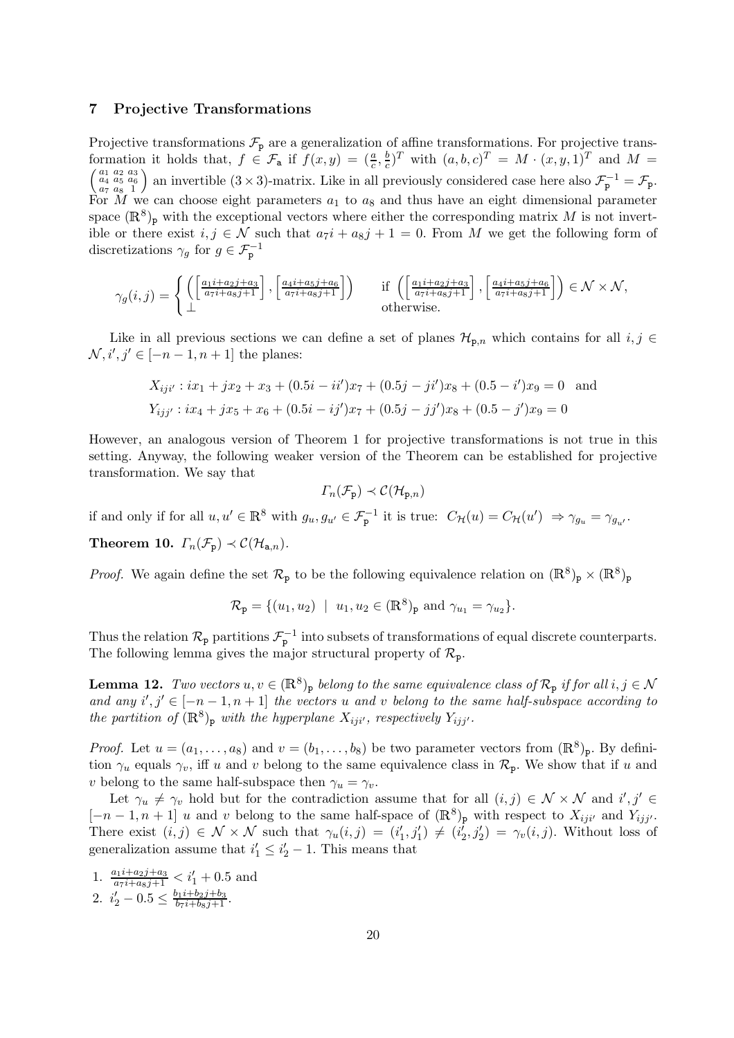### 7 Projective Transformations

Projective transformations  $\mathcal{F}_{\text{p}}$  are a generalization of affine transformations. For projective transformation it holds that,  $f \in \mathcal{F}_a$  if  $f(x, y) = \left(\frac{a}{c}, \frac{b}{c}\right)$  $(\frac{b}{c})^T$  with  $(a, b, c)$ formation it holds that,  $f \in \mathcal{F}_a$  if  $f(x, y) = (\frac{a}{c}, \frac{b}{c})^T$  with  $(a, b, c)^T = M \cdot (x, y, 1)^T$  and  $M = \begin{pmatrix} a_1 & a_2 & a_3 \\ a_4 & a_5 & a_6 \\ a_7 & a_8 & 1 \end{pmatrix}$  an invertible  $(3 \times 3)$ -matrix. Like in all previously considered case h an invertible  $(3 \times 3)$ -matrix. Like in all previously considered case here also  $\mathcal{F}_{\mathbf{p}}^{-1} = \mathcal{F}_{\mathbf{p}}$ . For M we can choose eight parameters  $a_1$  to  $a_8$  and thus have an eight dimensional parameter space  $(\mathbb{R}^8)$ <sub>p</sub> with the exceptional vectors where either the corresponding matrix M is not invertible or there exist  $i, j \in \mathcal{N}$  such that  $a_7i + a_8j + 1 = 0$ . From M we get the following form of discretizations  $\gamma_g$  for  $g \in \mathcal{F}_{\mathbf{p}}^{-1}$ 

$$
\gamma_g(i,j) = \begin{cases} \left( \left[ \frac{a_1 i + a_2 j + a_3}{a_7 i + a_8 j + 1} \right], \left[ \frac{a_4 i + a_5 j + a_6}{a_7 i + a_8 j + 1} \right] \right) & \text{if } \left( \left[ \frac{a_1 i + a_2 j + a_3}{a_7 i + a_8 j + 1} \right], \left[ \frac{a_4 i + a_5 j + a_6}{a_7 i + a_8 j + 1} \right] \right) \in \mathcal{N} \times \mathcal{N}, \\ \perp & \text{otherwise.} \end{cases}
$$

Like in all previous sections we can define a set of planes  $\mathcal{H}_{p,n}$  which contains for all  $i, j \in$  $N, i', j' \in [-n - 1, n + 1]$  the planes:

$$
X_{iji'} : ix_1 + jx_2 + x_3 + (0.5i - ii')x_7 + (0.5j - ji')x_8 + (0.5 - i')x_9 = 0
$$
 and  

$$
Y_{ijj'} : ix_4 + jx_5 + x_6 + (0.5i - ij')x_7 + (0.5j - jj')x_8 + (0.5 - j')x_9 = 0
$$

However, an analogous version of Theorem 1 for projective transformations is not true in this setting. Anyway, the following weaker version of the Theorem can be established for projective transformation. We say that

$$
\Gamma_n(\mathcal{F}_{\mathbf{p}}) \prec \mathcal{C}(\mathcal{H}_{\mathbf{p},n})
$$

if and only if for all  $u, u' \in \mathbb{R}^8$  with  $g_u, g_{u'} \in \mathcal{F}_p^{-1}$  it is true:  $C_{\mathcal{H}}(u) = C_{\mathcal{H}}(u') \Rightarrow \gamma_{g_u} = \gamma_{g_{u'}}$ . **Theorem 10.**  $\Gamma_n(\mathcal{F}_p) \prec C(\mathcal{H}_{a,n}).$ 

*Proof.* We again define the set  $\mathcal{R}_p$  to be the following equivalence relation on  $(\mathbb{R}^8)_p \times (\mathbb{R}^8)_p$ 

$$
\mathcal{R}_{\mathbf{p}} = \{ (u_1, u_2) \mid u_1, u_2 \in (\mathbb{R}^8)_{\mathbf{p}} \text{ and } \gamma_{u_1} = \gamma_{u_2} \}.
$$

Thus the relation  $\mathcal{R}_p$  partitions  $\mathcal{F}_p^{-1}$  into subsets of transformations of equal discrete counterparts. The following lemma gives the major structural property of  $\mathcal{R}_{p}$ .

**Lemma 12.** Two vectors  $u, v \in (\mathbb{R}^8)_{\text{p}}$  belong to the same equivalence class of  $\mathcal{R}_{\text{p}}$  if for all  $i, j \in \mathcal{N}$ and any  $i', j' \in [-n-1, n+1]$  the vectors u and v belong to the same half-subspace according to the partition of  $(\mathbb{R}^8)_{\text{p}}$  with the hyperplane  $X_{iji'}$ , respectively  $Y_{ijj'}$ .

*Proof.* Let  $u = (a_1, \ldots, a_8)$  and  $v = (b_1, \ldots, b_8)$  be two parameter vectors from  $(\mathbb{R}^8)_{\mathbb{P}}$ . By definition  $\gamma_u$  equals  $\gamma_v$ , iff u and v belong to the same equivalence class in  $\mathcal{R}_p$ . We show that if u and v belong to the same half-subspace then  $\gamma_u = \gamma_v$ .

Let  $\gamma_u \neq \gamma_v$  hold but for the contradiction assume that for all  $(i, j) \in \mathcal{N} \times \mathcal{N}$  and  $i', j' \in$  $[-n-1,n+1]$  u and v belong to the same half-space of  $(\mathbb{R}^8)$ <sub>p</sub> with respect to  $X_{iji'}$  and  $Y_{ijj'}$ . There exist  $(i, j) \in \mathcal{N} \times \mathcal{N}$  such that  $\gamma_u(i, j) = (i'_1, j'_1) \neq (i'_2, j'_2) = \gamma_v(i, j)$ . Without loss of generalization assume that  $i'_1 \leq i'_2 - 1$ . This means that

1.  $\frac{a_1 i + a_2 j + a_3}{a_7 i + a_8 j + 1} < i'_1 + 0.5$  and 2.  $i'_2 - 0.5 \leq \frac{b_1 i + b_2 j + b_3}{b_7 i + b_8 j + 1}$ .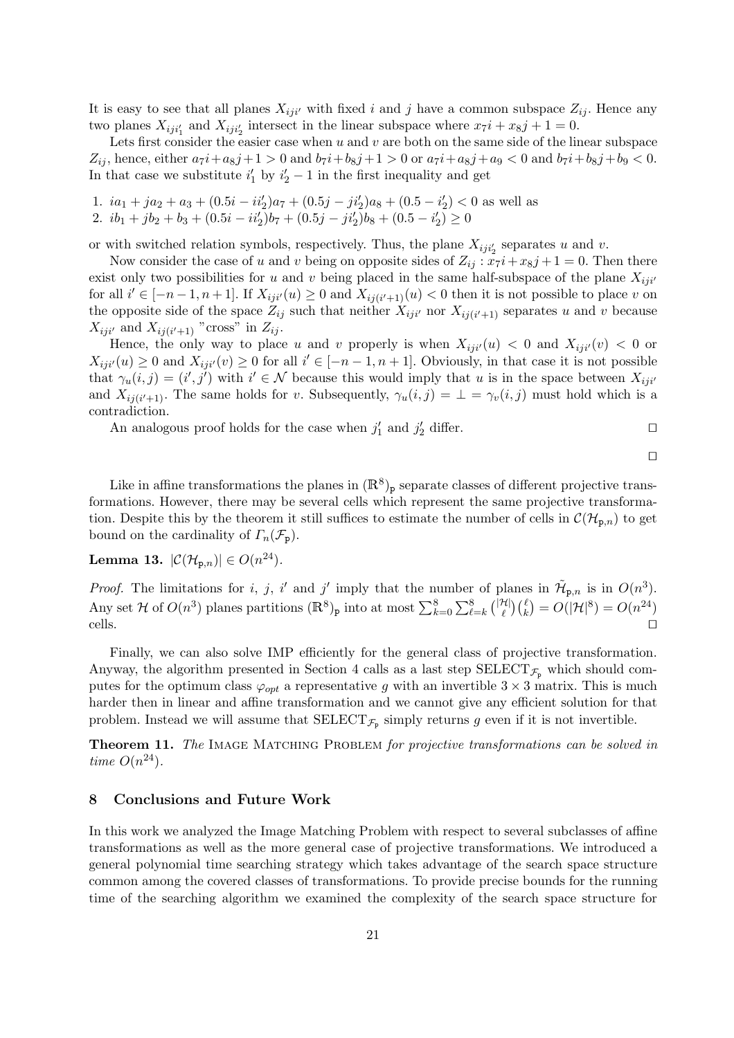It is easy to see that all planes  $X_{iji'}$  with fixed i and j have a common subspace  $Z_{ij}$ . Hence any two planes  $X_{iji_1'}$  and  $X_{iji_2'}$  intersect in the linear subspace where  $x_7i + x_8j + 1 = 0$ .

Lets first consider the easier case when  $u$  and  $v$  are both on the same side of the linear subspace  $Z_{ij}$ , hence, either  $a_7i + a_8j + 1 > 0$  and  $b_7i + b_8j + 1 > 0$  or  $a_7i + a_8j + a_9 < 0$  and  $b_7i + b_8j + b_9 < 0$ . In that case we substitute  $i'_1$  by  $i'_2 - 1$  in the first inequality and get

- 1.  $ia_1 + ja_2 + a_3 + (0.5i ii'_2)a_7 + (0.5j ji'_2)a_8 + (0.5 i'_2) < 0$  as well as
- 2.  $ib_1 + jb_2 + b_3 + (0.5i ii'_2)b_7 + (0.5j ji'_2)b_8 + (0.5 i'_2) \ge 0$

or with switched relation symbols, respectively. Thus, the plane  $X_{ij}$ <sub>i</sub> separates u and v.

Now consider the case of u and v being on opposite sides of  $Z_{ij}$ :  $x_7i + x_8j + 1 = 0$ . Then there exist only two possibilities for u and v being placed in the same half-subspace of the plane  $X_{ij}$ for all  $i' \in [-n-1, n+1]$ . If  $X_{ij}i'(u) \geq 0$  and  $X_{ij}(i'+1)(u) < 0$  then it is not possible to place v on the opposite side of the space  $Z_{ij}$  such that neither  $X_{ij}$  nor  $X_{ij(i'+1)}$  separates u and v because  $X_{iji'}$  and  $X_{ij(i'+1)}$  "cross" in  $Z_{ij}$ .

Hence, the only way to place u and v properly is when  $X_{iji}(u) < 0$  and  $X_{iji}(v) < 0$  or  $X_{iji'}(u) \geq 0$  and  $X_{iji'}(v) \geq 0$  for all  $i' \in [-n-1, n+1]$ . Obviously, in that case it is not possible that  $\gamma_u(i,j) = (i',j')$  with  $i' \in \mathcal{N}$  because this would imply that u is in the space between  $X_{ij}$ and  $X_{ij(i'+1)}$ . The same holds for v. Subsequently,  $\gamma_u(i,j) = \perp = \gamma_v(i,j)$  must hold which is a contradiction.

An analogous proof holds for the case when  $j'_1$  and  $j'_2$  differ.

 $\Box$ 

Like in affine transformations the planes in  $(\mathbb{R}^8)_{\text{p}}$  separate classes of different projective transformations. However, there may be several cells which represent the same projective transformation. Despite this by the theorem it still suffices to estimate the number of cells in  $\mathcal{C}(\mathcal{H}_{p,n})$  to get bound on the cardinality of  $\Gamma_n(\mathcal{F}_{\text{p}})$ .

Lemma 13.  $|\mathcal{C}(\mathcal{H}_{p,n})| \in O(n^{24}).$ 

*Proof.* The limitations for i, j, i' and j' imply that the number of planes in  $\tilde{\mathcal{H}}_{p,n}$  is in  $O(n^3)$ . Any set H of  $O(n^3)$  planes partitions  $(\mathbb{R}^8)_{\text{p}}$  into at most  $\sum_{k=0}^8 \sum_{\ell=k}^8 {\binom{|\mathcal{H}|}{\ell}}$  $\binom{\mathcal{H}}{\ell} \binom{\ell}{k} = O(|\mathcal{H}|^8) = O(n^{24})$ cells.

Finally, we can also solve IMP efficiently for the general class of projective transformation. Anyway, the algorithm presented in Section 4 calls as a last step  $\text{SELECT}_{\mathcal{F}_p}$  which should computes for the optimum class  $\varphi_{opt}$  a representative g with an invertible  $3 \times 3$  matrix. This is much harder then in linear and affine transformation and we cannot give any efficient solution for that problem. Instead we will assume that  $\text{SELECT}_{\mathcal{F}_p}$  simply returns g even if it is not invertible.

Theorem 11. The IMAGE MATCHING PROBLEM for projective transformations can be solved in time  $O(n^{24})$ .

## 8 Conclusions and Future Work

In this work we analyzed the Image Matching Problem with respect to several subclasses of affine transformations as well as the more general case of projective transformations. We introduced a general polynomial time searching strategy which takes advantage of the search space structure common among the covered classes of transformations. To provide precise bounds for the running time of the searching algorithm we examined the complexity of the search space structure for